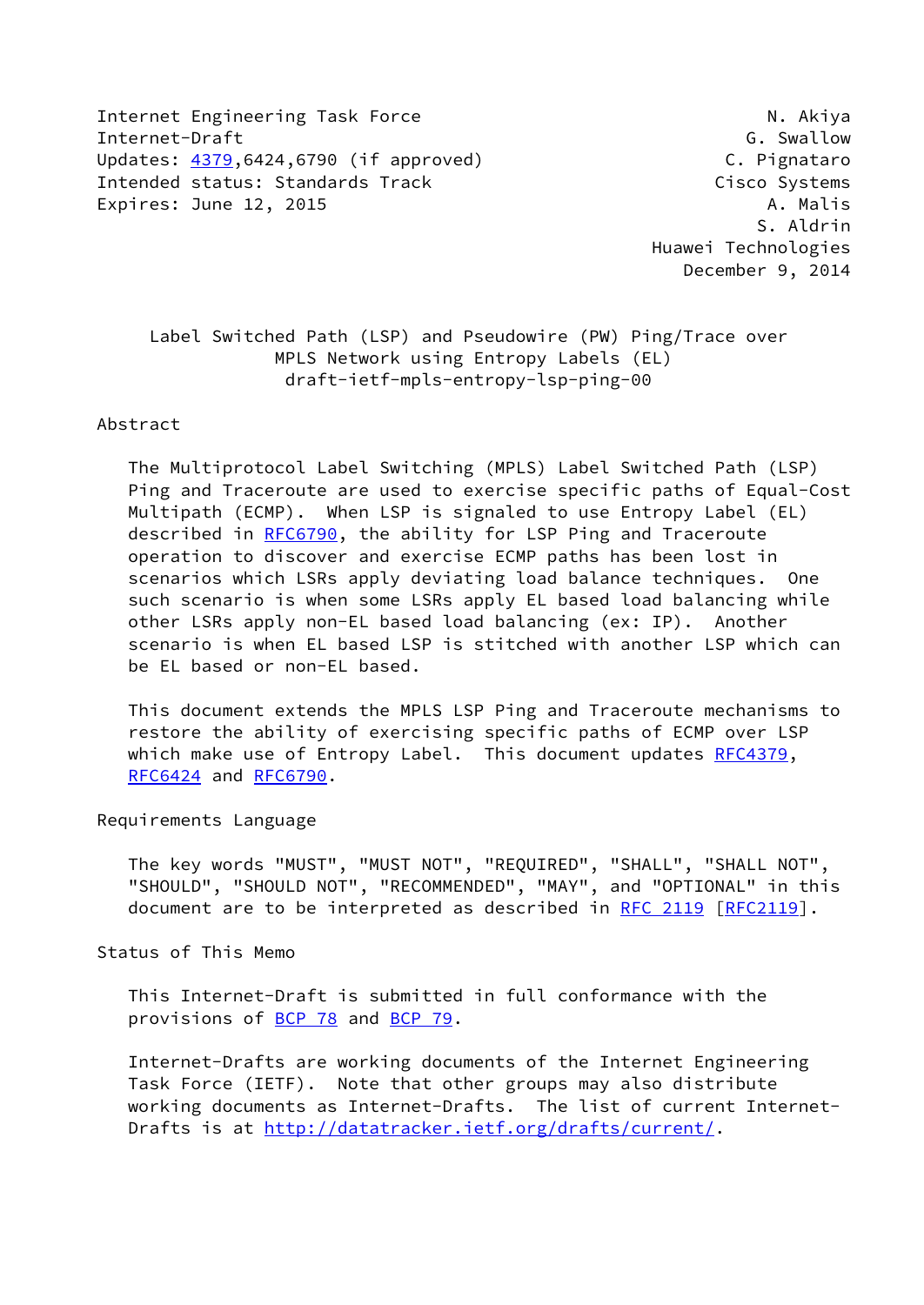Internet Engineering Task Force N. Akiya Internet-Draft G. Swallow Updates: [4379](https://datatracker.ietf.org/doc/pdf/rfc4379),6424,6790 (if approved) C. Pignataro Intended status: Standards Track Cisco Systems Expires: June 12, 2015 **A. Matrix** 2015 **A. Matrix** 2015

 S. Aldrin Huawei Technologies December 9, 2014

 Label Switched Path (LSP) and Pseudowire (PW) Ping/Trace over MPLS Network using Entropy Labels (EL) draft-ietf-mpls-entropy-lsp-ping-00

### Abstract

 The Multiprotocol Label Switching (MPLS) Label Switched Path (LSP) Ping and Traceroute are used to exercise specific paths of Equal-Cost Multipath (ECMP). When LSP is signaled to use Entropy Label (EL) described in [RFC6790](https://datatracker.ietf.org/doc/pdf/rfc6790), the ability for LSP Ping and Traceroute operation to discover and exercise ECMP paths has been lost in scenarios which LSRs apply deviating load balance techniques. One such scenario is when some LSRs apply EL based load balancing while other LSRs apply non-EL based load balancing (ex: IP). Another scenario is when EL based LSP is stitched with another LSP which can be EL based or non-EL based.

 This document extends the MPLS LSP Ping and Traceroute mechanisms to restore the ability of exercising specific paths of ECMP over LSP which make use of Entropy Label. This document updates [RFC4379](https://datatracker.ietf.org/doc/pdf/rfc4379), [RFC6424](https://datatracker.ietf.org/doc/pdf/rfc6424) and [RFC6790.](https://datatracker.ietf.org/doc/pdf/rfc6790)

Requirements Language

 The key words "MUST", "MUST NOT", "REQUIRED", "SHALL", "SHALL NOT", "SHOULD", "SHOULD NOT", "RECOMMENDED", "MAY", and "OPTIONAL" in this document are to be interpreted as described in [RFC 2119 \[RFC2119](https://datatracker.ietf.org/doc/pdf/rfc2119)].

Status of This Memo

 This Internet-Draft is submitted in full conformance with the provisions of [BCP 78](https://datatracker.ietf.org/doc/pdf/bcp78) and [BCP 79](https://datatracker.ietf.org/doc/pdf/bcp79).

 Internet-Drafts are working documents of the Internet Engineering Task Force (IETF). Note that other groups may also distribute working documents as Internet-Drafts. The list of current Internet Drafts is at<http://datatracker.ietf.org/drafts/current/>.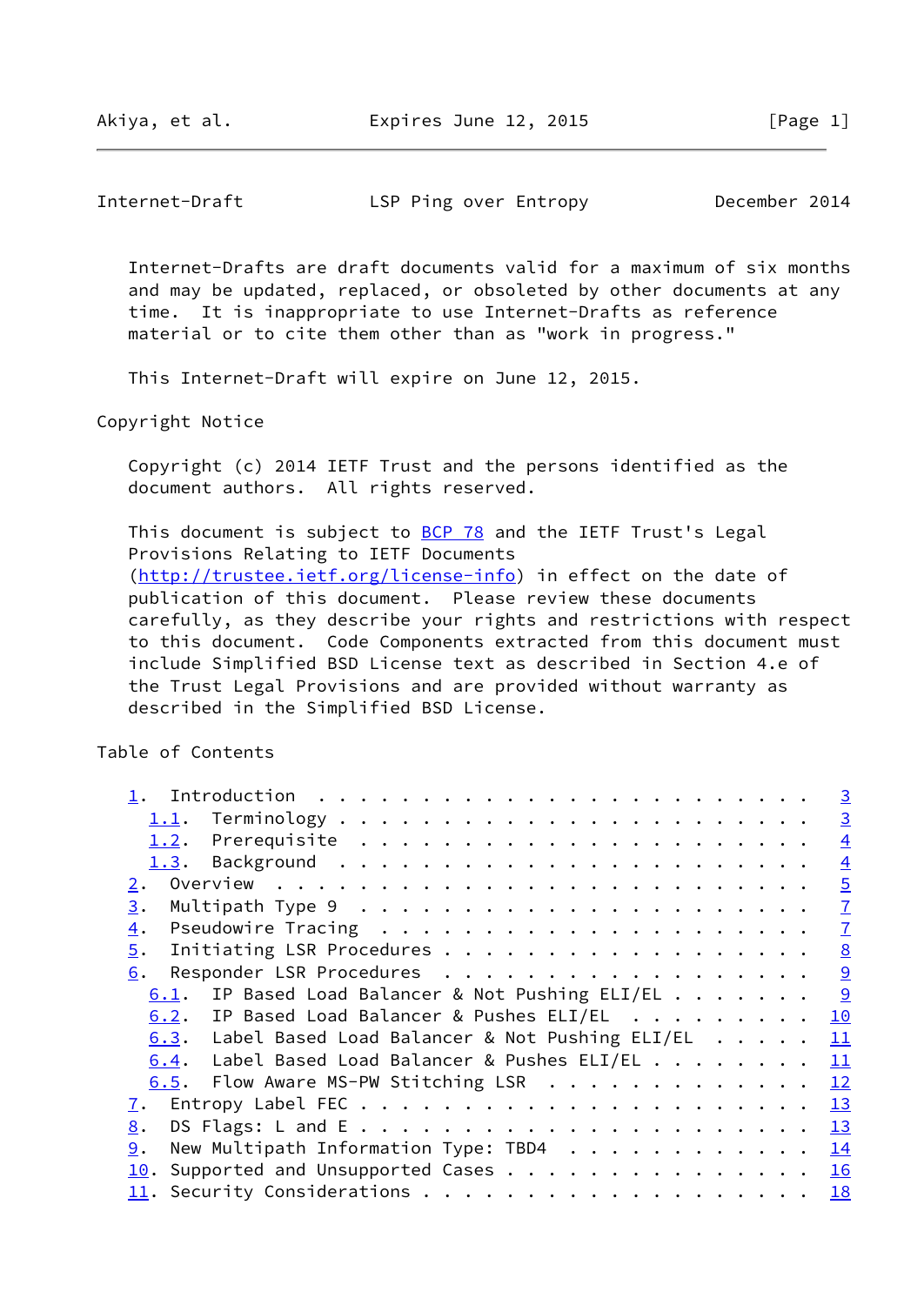Internet-Draft LSP Ping over Entropy December 2014

 Internet-Drafts are draft documents valid for a maximum of six months and may be updated, replaced, or obsoleted by other documents at any time. It is inappropriate to use Internet-Drafts as reference material or to cite them other than as "work in progress."

This Internet-Draft will expire on June 12, 2015.

Copyright Notice

 Copyright (c) 2014 IETF Trust and the persons identified as the document authors. All rights reserved.

This document is subject to [BCP 78](https://datatracker.ietf.org/doc/pdf/bcp78) and the IETF Trust's Legal Provisions Relating to IETF Documents [\(http://trustee.ietf.org/license-info](http://trustee.ietf.org/license-info)) in effect on the date of publication of this document. Please review these documents carefully, as they describe your rights and restrictions with respect to this document. Code Components extracted from this document must include Simplified BSD License text as described in Section 4.e of the Trust Legal Provisions and are provided without warranty as described in the Simplified BSD License.

Table of Contents

|                                                       | $\overline{3}$            |
|-------------------------------------------------------|---------------------------|
|                                                       | $\overline{3}$            |
|                                                       | $\overline{4}$            |
|                                                       | $\overline{4}$            |
| 2.                                                    | $\overline{5}$            |
| 3.                                                    | $\underline{\mathcal{I}}$ |
| 4.                                                    | $\overline{1}$            |
| $\overline{5}$ .                                      | 8                         |
| 6.                                                    | 9                         |
| IP Based Load Balancer & Not Pushing ELI/EL 9<br>6.1. |                           |
| 6.2. IP Based Load Balancer & Pushes ELI/EL           | 10                        |
| 6.3. Label Based Load Balancer & Not Pushing ELI/EL   | 11                        |
| Label Based Load Balancer & Pushes ELI/EL<br>6.4.     | 11                        |
| 6.5. Flow Aware MS-PW Stitching LSR                   | 12                        |
| 7.                                                    | 13                        |
| 8.                                                    |                           |
| New Multipath Information Type: TBD4 14<br>9.         |                           |
| Supported and Unsupported Cases 16<br>10.             |                           |
|                                                       |                           |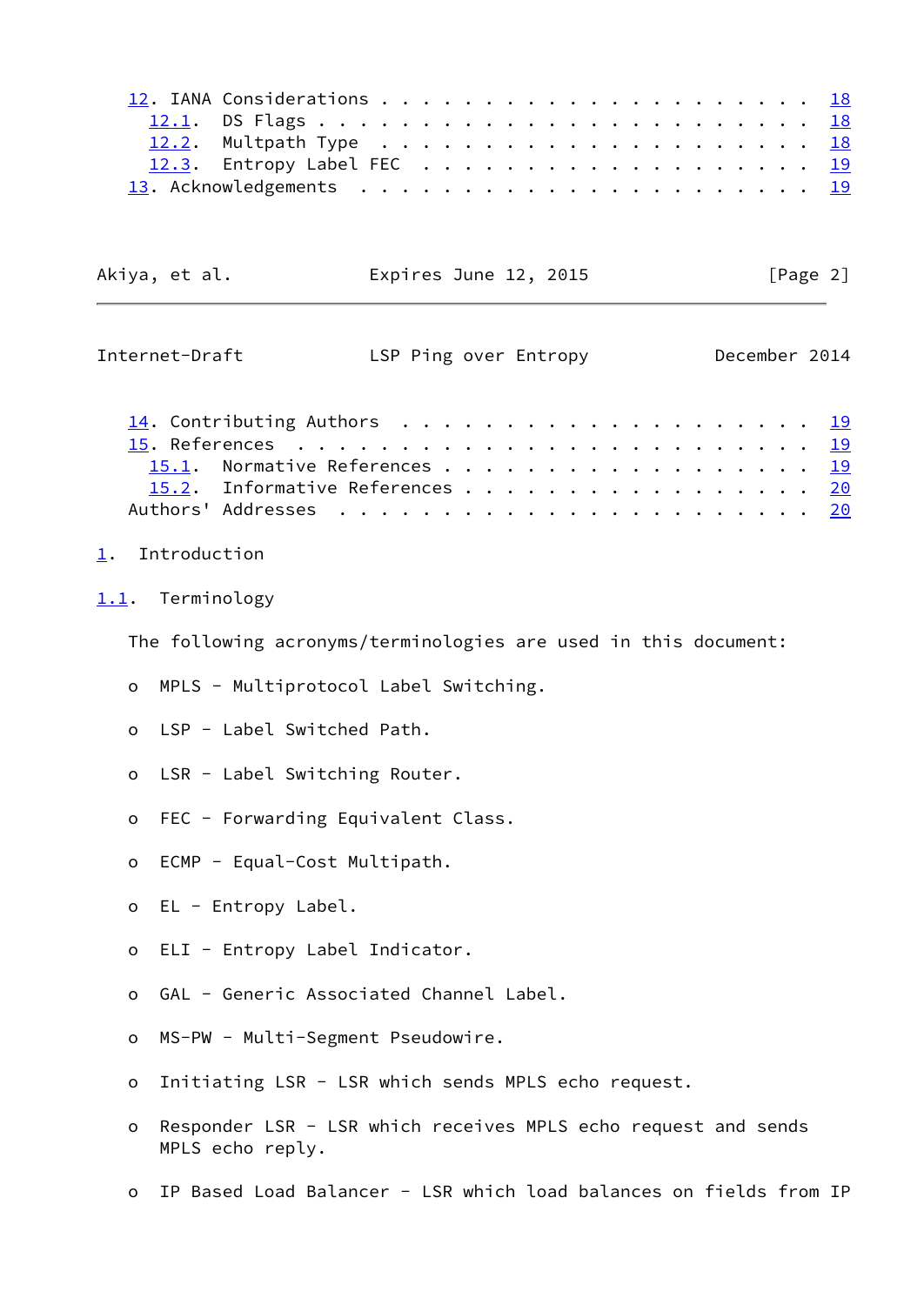| 12.3. Entropy Label FEC 19 |  |  |  |  |  |  |  |  |  |
|----------------------------|--|--|--|--|--|--|--|--|--|
|                            |  |  |  |  |  |  |  |  |  |

| Akiya, et al. | Expires June 12, 2015 | [Page 2] |
|---------------|-----------------------|----------|
|               |                       |          |
|               |                       |          |

<span id="page-2-1"></span>

| Internet-Draft |                                      | LSP Ping over Entropy |  |  |  |  |  |  |  |  | December 2014 |
|----------------|--------------------------------------|-----------------------|--|--|--|--|--|--|--|--|---------------|
|                | 14. Contributing Authors $\ldots$ 19 |                       |  |  |  |  |  |  |  |  |               |
|                |                                      |                       |  |  |  |  |  |  |  |  |               |
|                | 15.1. Normative References 19        |                       |  |  |  |  |  |  |  |  |               |
|                | 15.2. Informative References 20      |                       |  |  |  |  |  |  |  |  |               |
|                |                                      |                       |  |  |  |  |  |  |  |  |               |

#### <span id="page-2-0"></span>[1](#page-2-0). Introduction

### <span id="page-2-2"></span>[1.1](#page-2-2). Terminology

The following acronyms/terminologies are used in this document:

- o MPLS Multiprotocol Label Switching.
- o LSP Label Switched Path.
- o LSR Label Switching Router.
- o FEC Forwarding Equivalent Class.
- o ECMP Equal-Cost Multipath.
- o EL Entropy Label.
- o ELI Entropy Label Indicator.
- o GAL Generic Associated Channel Label.
- o MS-PW Multi-Segment Pseudowire.
- o Initiating LSR LSR which sends MPLS echo request.
- o Responder LSR LSR which receives MPLS echo request and sends MPLS echo reply.
- o IP Based Load Balancer LSR which load balances on fields from IP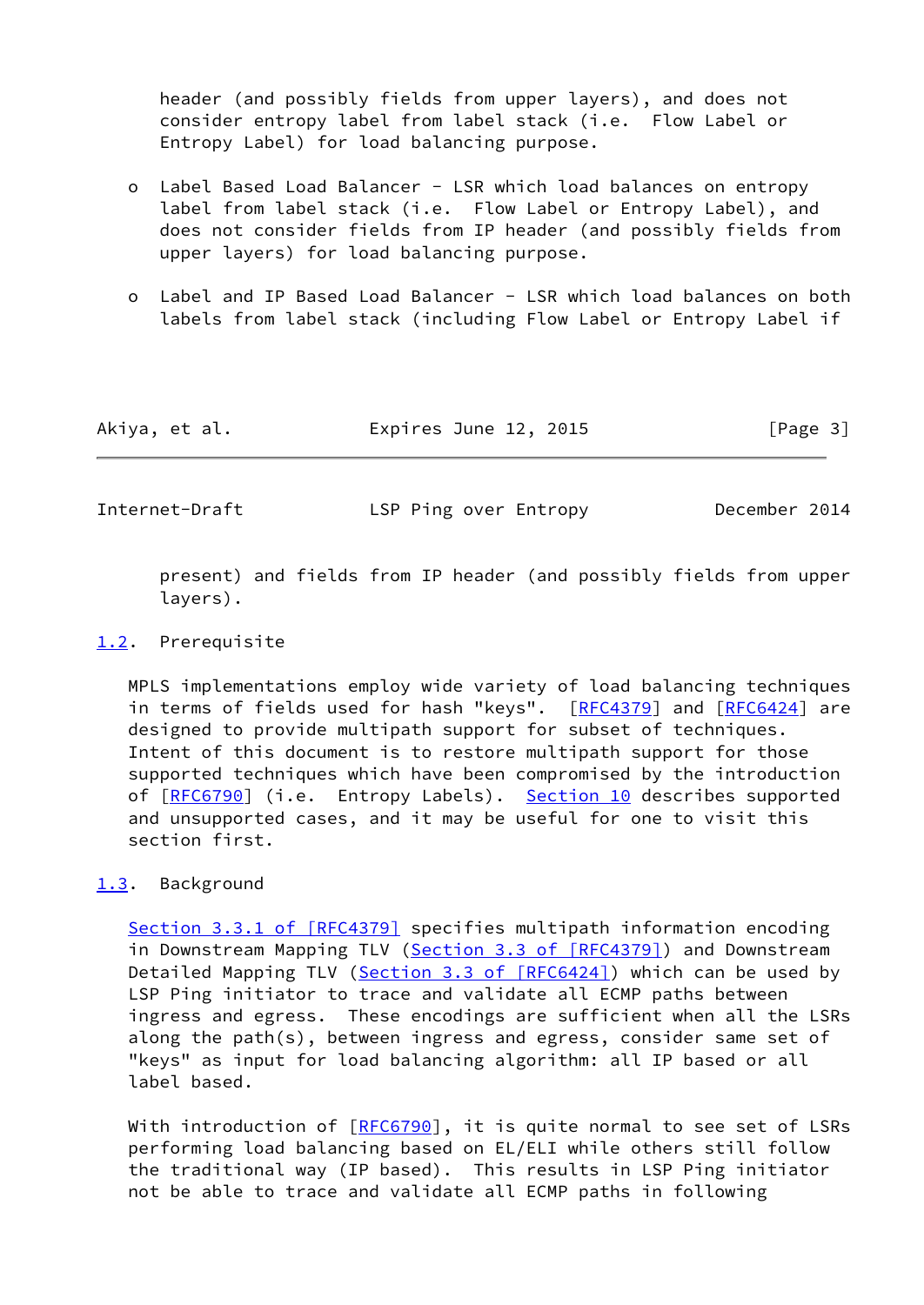header (and possibly fields from upper layers), and does not consider entropy label from label stack (i.e. Flow Label or Entropy Label) for load balancing purpose.

- o Label Based Load Balancer LSR which load balances on entropy label from label stack (i.e. Flow Label or Entropy Label), and does not consider fields from IP header (and possibly fields from upper layers) for load balancing purpose.
- o Label and IP Based Load Balancer LSR which load balances on both labels from label stack (including Flow Label or Entropy Label if

| Akiya, et al. | Expires June 12, 2015 | [Page 3] |
|---------------|-----------------------|----------|
|---------------|-----------------------|----------|

<span id="page-3-1"></span>Internet-Draft LSP Ping over Entropy December 2014

 present) and fields from IP header (and possibly fields from upper layers).

### <span id="page-3-0"></span>[1.2](#page-3-0). Prerequisite

 MPLS implementations employ wide variety of load balancing techniques in terms of fields used for hash "keys". [[RFC4379](https://datatracker.ietf.org/doc/pdf/rfc4379)] and [\[RFC6424](https://datatracker.ietf.org/doc/pdf/rfc6424)] are designed to provide multipath support for subset of techniques. Intent of this document is to restore multipath support for those supported techniques which have been compromised by the introduction of [[RFC6790\]](https://datatracker.ietf.org/doc/pdf/rfc6790) (i.e. Entropy Labels). [Section 10](#page-17-0) describes supported and unsupported cases, and it may be useful for one to visit this section first.

# <span id="page-3-2"></span>[1.3](#page-3-2). Background

Section [3.3.1 of \[RFC4379\]](https://datatracker.ietf.org/doc/pdf/rfc4379#section-3.3.1) specifies multipath information encoding in Downstream Mapping TLV (Section [3.3 of \[RFC4379\]\)](https://datatracker.ietf.org/doc/pdf/rfc4379#section-3.3) and Downstream Detailed Mapping TLV (Section [3.3 of \[RFC6424\]](https://datatracker.ietf.org/doc/pdf/rfc6424#section-3.3)) which can be used by LSP Ping initiator to trace and validate all ECMP paths between ingress and egress. These encodings are sufficient when all the LSRs along the path(s), between ingress and egress, consider same set of "keys" as input for load balancing algorithm: all IP based or all label based.

With introduction of  $[REC6790]$ , it is quite normal to see set of LSRs performing load balancing based on EL/ELI while others still follow the traditional way (IP based). This results in LSP Ping initiator not be able to trace and validate all ECMP paths in following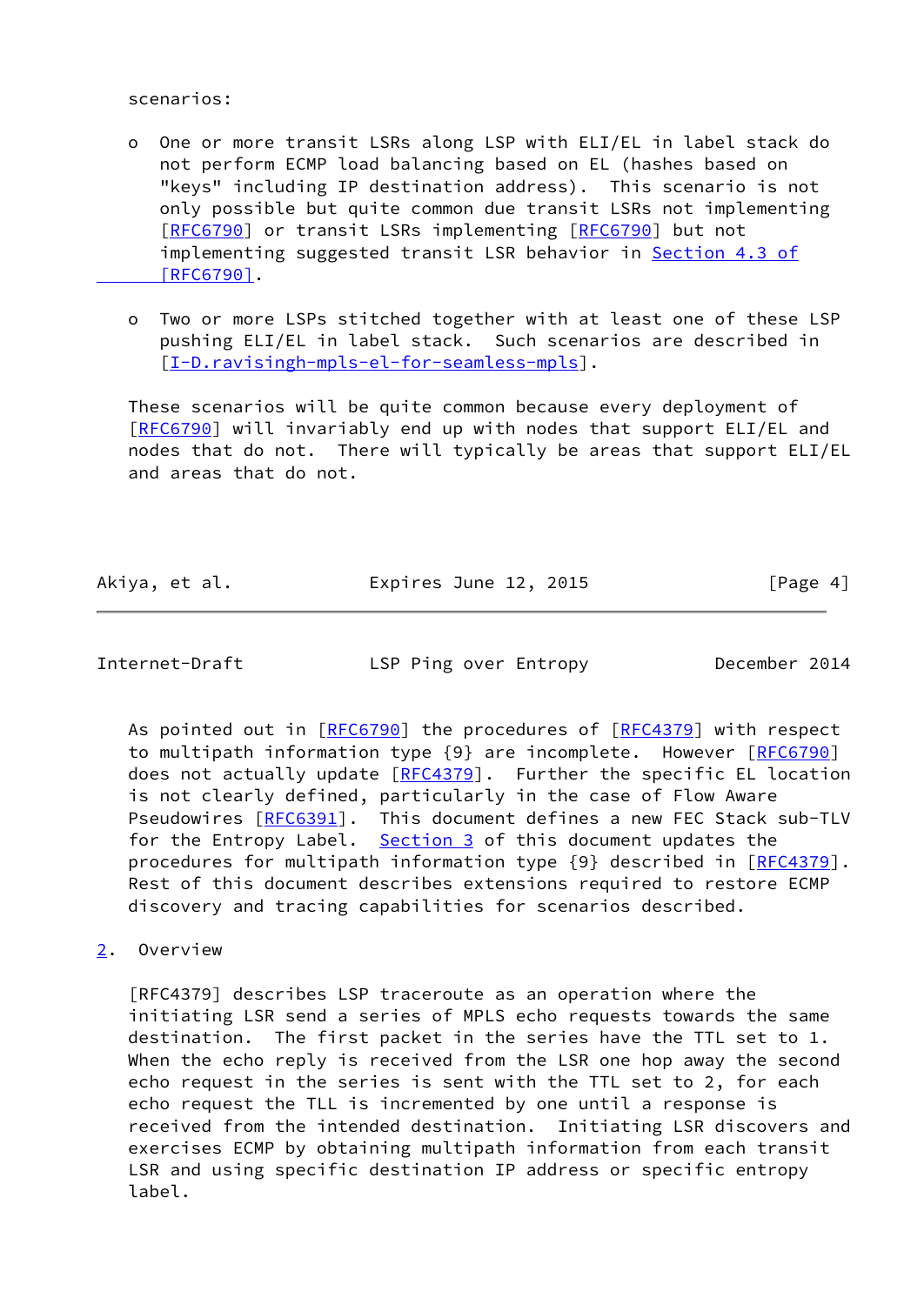scenarios:

- o One or more transit LSRs along LSP with ELI/EL in label stack do not perform ECMP load balancing based on EL (hashes based on "keys" including IP destination address). This scenario is not only possible but quite common due transit LSRs not implementing [[RFC6790\]](https://datatracker.ietf.org/doc/pdf/rfc6790) or transit LSRs implementing [[RFC6790](https://datatracker.ietf.org/doc/pdf/rfc6790)] but not implementing suggested transit LSR behavior in [Section](https://datatracker.ietf.org/doc/pdf/rfc6790#section-4.3) 4.3 of  [\[RFC6790\]](https://datatracker.ietf.org/doc/pdf/rfc6790#section-4.3).
- o Two or more LSPs stitched together with at least one of these LSP pushing ELI/EL in label stack. Such scenarios are described in [[I-D.ravisingh-mpls-el-for-seamless-mpls\]](#page-21-4).

 These scenarios will be quite common because every deployment of [\[RFC6790](https://datatracker.ietf.org/doc/pdf/rfc6790)] will invariably end up with nodes that support ELI/EL and nodes that do not. There will typically be areas that support ELI/EL and areas that do not.

| Akiya, et al. | Expires June 12, 2015 | [Page 4] |
|---------------|-----------------------|----------|
|               |                       |          |

<span id="page-4-1"></span>Internet-Draft LSP Ping over Entropy December 2014

As pointed out in [[RFC6790](https://datatracker.ietf.org/doc/pdf/rfc6790)] the procedures of [[RFC4379](https://datatracker.ietf.org/doc/pdf/rfc4379)] with respect to multipath information type {9} are incomplete. However [[RFC6790\]](https://datatracker.ietf.org/doc/pdf/rfc6790) does not actually update [\[RFC4379](https://datatracker.ietf.org/doc/pdf/rfc4379)]. Further the specific EL location is not clearly defined, particularly in the case of Flow Aware Pseudowires [\[RFC6391](https://datatracker.ietf.org/doc/pdf/rfc6391)]. This document defines a new FEC Stack sub-TLV for the Entropy Label. [Section 3](#page-6-0) of this document updates the procedures for multipath information type {9} described in [[RFC4379\]](https://datatracker.ietf.org/doc/pdf/rfc4379). Rest of this document describes extensions required to restore ECMP discovery and tracing capabilities for scenarios described.

<span id="page-4-0"></span>[2](#page-4-0). Overview

 [RFC4379] describes LSP traceroute as an operation where the initiating LSR send a series of MPLS echo requests towards the same destination. The first packet in the series have the TTL set to 1. When the echo reply is received from the LSR one hop away the second echo request in the series is sent with the TTL set to 2, for each echo request the TLL is incremented by one until a response is received from the intended destination. Initiating LSR discovers and exercises ECMP by obtaining multipath information from each transit LSR and using specific destination IP address or specific entropy label.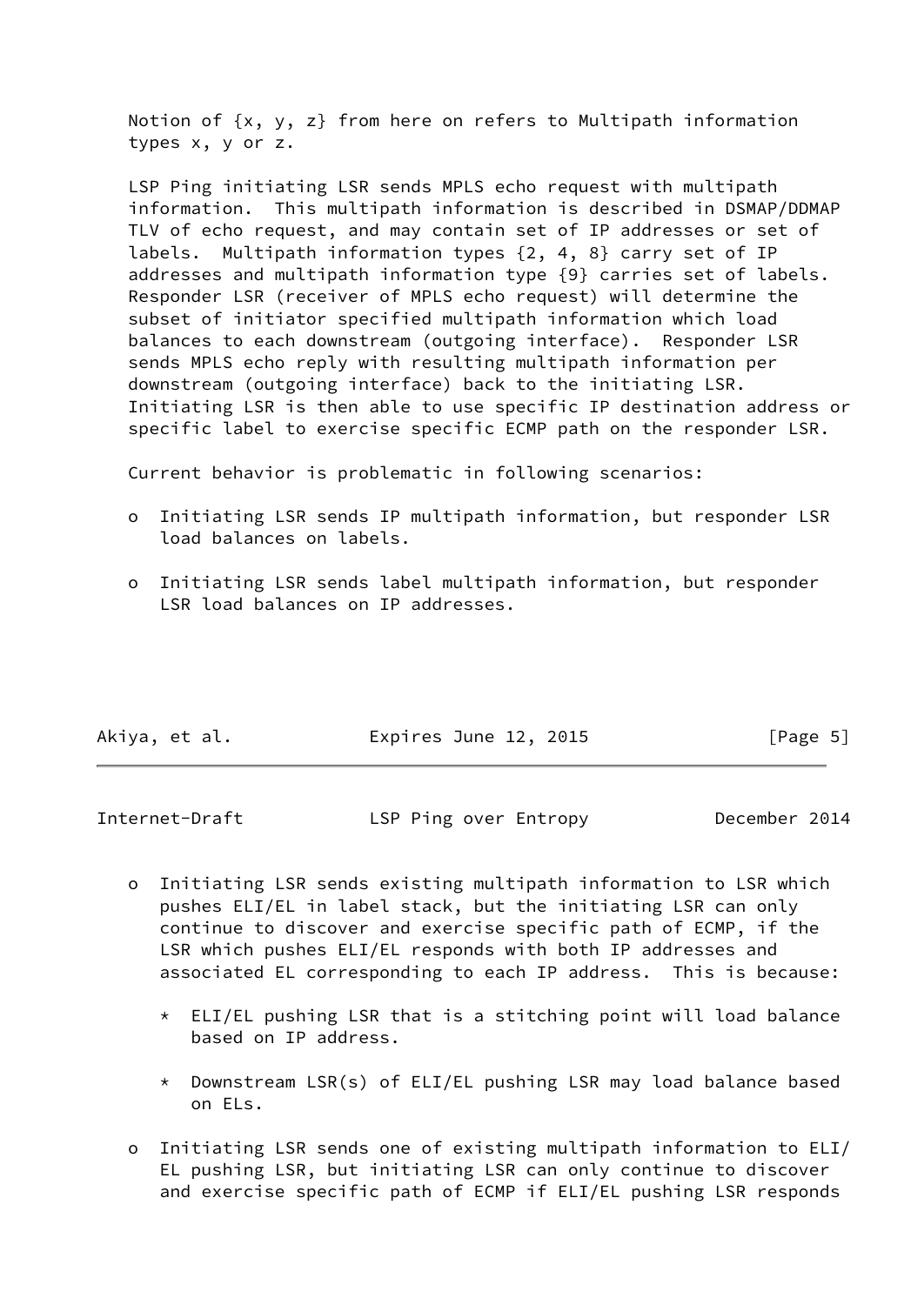Notion of {x, y, z} from here on refers to Multipath information types x, y or z.

 LSP Ping initiating LSR sends MPLS echo request with multipath information. This multipath information is described in DSMAP/DDMAP TLV of echo request, and may contain set of IP addresses or set of labels. Multipath information types {2, 4, 8} carry set of IP addresses and multipath information type {9} carries set of labels. Responder LSR (receiver of MPLS echo request) will determine the subset of initiator specified multipath information which load balances to each downstream (outgoing interface). Responder LSR sends MPLS echo reply with resulting multipath information per downstream (outgoing interface) back to the initiating LSR. Initiating LSR is then able to use specific IP destination address or specific label to exercise specific ECMP path on the responder LSR.

Current behavior is problematic in following scenarios:

- o Initiating LSR sends IP multipath information, but responder LSR load balances on labels.
- o Initiating LSR sends label multipath information, but responder LSR load balances on IP addresses.

| Akiya, et al. | Expires June 12, 2015 |  | [Page 5] |  |
|---------------|-----------------------|--|----------|--|
|               |                       |  |          |  |

Internet-Draft LSP Ping over Entropy December 2014

- o Initiating LSR sends existing multipath information to LSR which pushes ELI/EL in label stack, but the initiating LSR can only continue to discover and exercise specific path of ECMP, if the LSR which pushes ELI/EL responds with both IP addresses and associated EL corresponding to each IP address. This is because:
	- \* ELI/EL pushing LSR that is a stitching point will load balance based on IP address.
	- \* Downstream LSR(s) of ELI/EL pushing LSR may load balance based on ELs.
- o Initiating LSR sends one of existing multipath information to ELI/ EL pushing LSR, but initiating LSR can only continue to discover and exercise specific path of ECMP if ELI/EL pushing LSR responds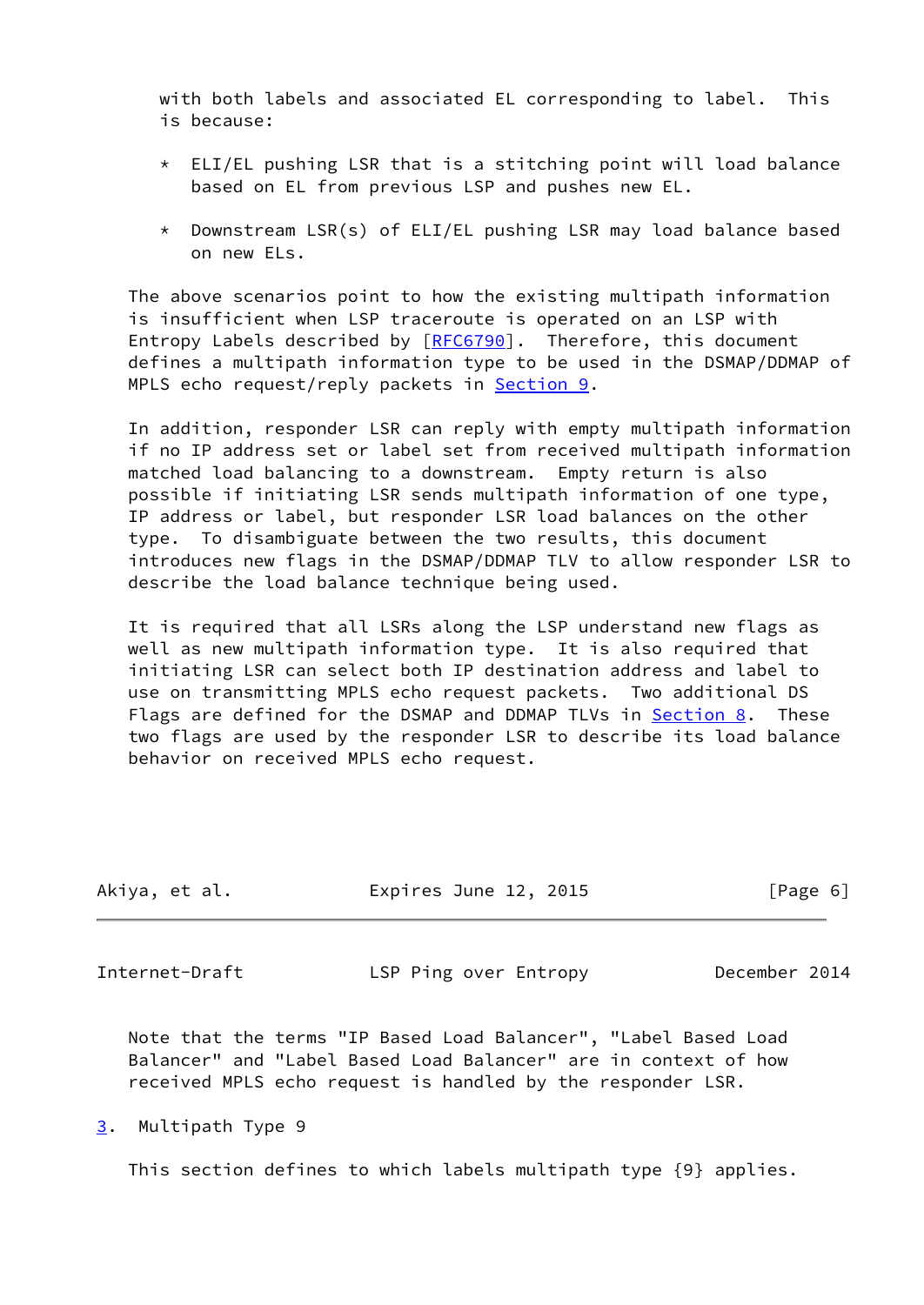with both labels and associated EL corresponding to label. This is because:

- \* ELI/EL pushing LSR that is a stitching point will load balance based on EL from previous LSP and pushes new EL.
- \* Downstream LSR(s) of ELI/EL pushing LSR may load balance based on new ELs.

 The above scenarios point to how the existing multipath information is insufficient when LSP traceroute is operated on an LSP with Entropy Labels described by [\[RFC6790](https://datatracker.ietf.org/doc/pdf/rfc6790)]. Therefore, this document defines a multipath information type to be used in the DSMAP/DDMAP of MPLS echo request/reply packets in [Section 9.](#page-15-0)

 In addition, responder LSR can reply with empty multipath information if no IP address set or label set from received multipath information matched load balancing to a downstream. Empty return is also possible if initiating LSR sends multipath information of one type, IP address or label, but responder LSR load balances on the other type. To disambiguate between the two results, this document introduces new flags in the DSMAP/DDMAP TLV to allow responder LSR to describe the load balance technique being used.

 It is required that all LSRs along the LSP understand new flags as well as new multipath information type. It is also required that initiating LSR can select both IP destination address and label to use on transmitting MPLS echo request packets. Two additional DS Flags are defined for the DSMAP and DDMAP TLVs in [Section 8.](#page-14-0) These two flags are used by the responder LSR to describe its load balance behavior on received MPLS echo request.

| Akiya, et al.<br>Expires June 12, 2015<br>[Page 6] |  |
|----------------------------------------------------|--|
|----------------------------------------------------|--|

<span id="page-6-1"></span>Internet-Draft LSP Ping over Entropy December 2014

 Note that the terms "IP Based Load Balancer", "Label Based Load Balancer" and "Label Based Load Balancer" are in context of how received MPLS echo request is handled by the responder LSR.

<span id="page-6-0"></span>[3](#page-6-0). Multipath Type 9

This section defines to which labels multipath type {9} applies.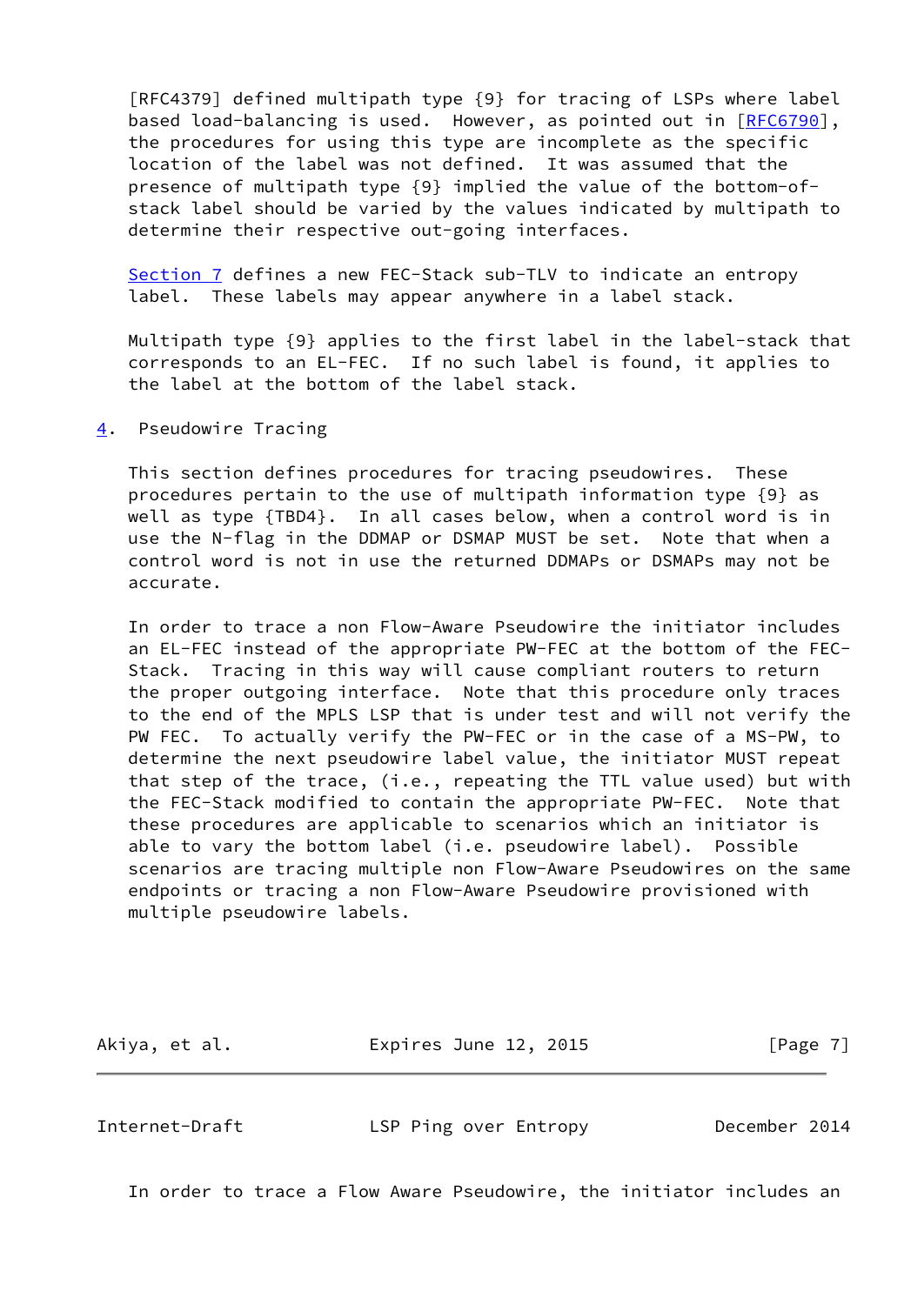[RFC4379] defined multipath type {9} for tracing of LSPs where label based load-balancing is used. However, as pointed out in [[RFC6790](https://datatracker.ietf.org/doc/pdf/rfc6790)], the procedures for using this type are incomplete as the specific location of the label was not defined. It was assumed that the presence of multipath type {9} implied the value of the bottom-of stack label should be varied by the values indicated by multipath to determine their respective out-going interfaces.

 [Section 7](#page-13-1) defines a new FEC-Stack sub-TLV to indicate an entropy label. These labels may appear anywhere in a label stack.

 Multipath type {9} applies to the first label in the label-stack that corresponds to an EL-FEC. If no such label is found, it applies to the label at the bottom of the label stack.

<span id="page-7-0"></span>[4](#page-7-0). Pseudowire Tracing

 This section defines procedures for tracing pseudowires. These procedures pertain to the use of multipath information type {9} as well as type {TBD4}. In all cases below, when a control word is in use the N-flag in the DDMAP or DSMAP MUST be set. Note that when a control word is not in use the returned DDMAPs or DSMAPs may not be accurate.

 In order to trace a non Flow-Aware Pseudowire the initiator includes an EL-FEC instead of the appropriate PW-FEC at the bottom of the FEC- Stack. Tracing in this way will cause compliant routers to return the proper outgoing interface. Note that this procedure only traces to the end of the MPLS LSP that is under test and will not verify the PW FEC. To actually verify the PW-FEC or in the case of a MS-PW, to determine the next pseudowire label value, the initiator MUST repeat that step of the trace, (i.e., repeating the TTL value used) but with the FEC-Stack modified to contain the appropriate PW-FEC. Note that these procedures are applicable to scenarios which an initiator is able to vary the bottom label (i.e. pseudowire label). Possible scenarios are tracing multiple non Flow-Aware Pseudowires on the same endpoints or tracing a non Flow-Aware Pseudowire provisioned with multiple pseudowire labels.

Akiya, et al. **Expires June 12, 2015** [Page 7]

<span id="page-7-1"></span>Internet-Draft LSP Ping over Entropy December 2014

In order to trace a Flow Aware Pseudowire, the initiator includes an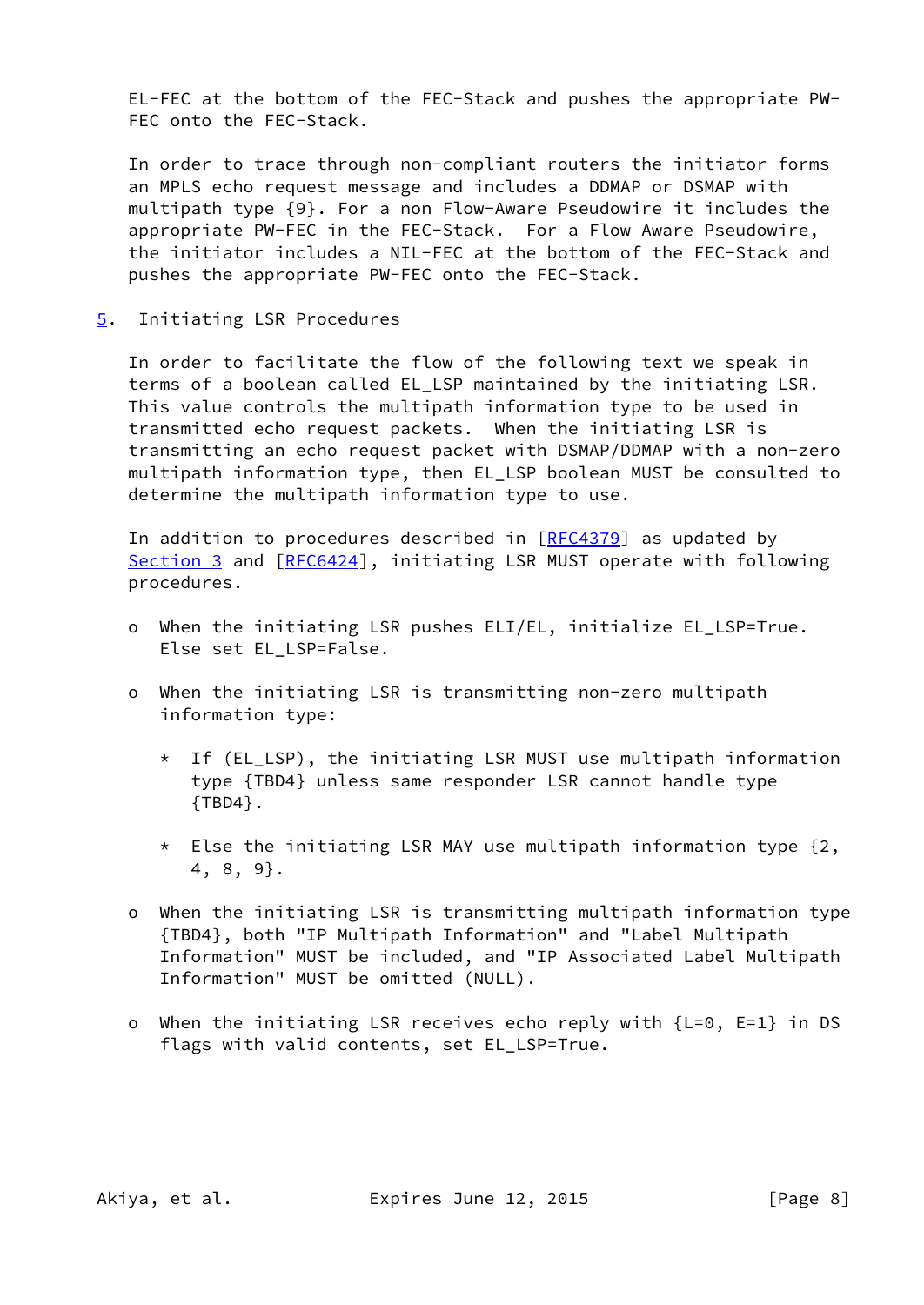EL-FEC at the bottom of the FEC-Stack and pushes the appropriate PW- FEC onto the FEC-Stack.

 In order to trace through non-compliant routers the initiator forms an MPLS echo request message and includes a DDMAP or DSMAP with multipath type {9}. For a non Flow-Aware Pseudowire it includes the appropriate PW-FEC in the FEC-Stack. For a Flow Aware Pseudowire, the initiator includes a NIL-FEC at the bottom of the FEC-Stack and pushes the appropriate PW-FEC onto the FEC-Stack.

<span id="page-8-0"></span>[5](#page-8-0). Initiating LSR Procedures

 In order to facilitate the flow of the following text we speak in terms of a boolean called EL\_LSP maintained by the initiating LSR. This value controls the multipath information type to be used in transmitted echo request packets. When the initiating LSR is transmitting an echo request packet with DSMAP/DDMAP with a non-zero multipath information type, then EL\_LSP boolean MUST be consulted to determine the multipath information type to use.

In addition to procedures described in  $[REC4379]$  as updated by [Section 3](#page-6-0) and [[RFC6424](https://datatracker.ietf.org/doc/pdf/rfc6424)], initiating LSR MUST operate with following procedures.

- o When the initiating LSR pushes ELI/EL, initialize EL\_LSP=True. Else set EL LSP=False.
- o When the initiating LSR is transmitting non-zero multipath information type:
	- \* If (EL\_LSP), the initiating LSR MUST use multipath information type {TBD4} unless same responder LSR cannot handle type {TBD4}.
	- $*$  Else the initiating LSR MAY use multipath information type  $\{2,$ 4, 8, 9}.
- o When the initiating LSR is transmitting multipath information type {TBD4}, both "IP Multipath Information" and "Label Multipath Information" MUST be included, and "IP Associated Label Multipath Information" MUST be omitted (NULL).
- o When the initiating LSR receives echo reply with  ${L=0, E=1}$  in DS flags with valid contents, set EL\_LSP=True.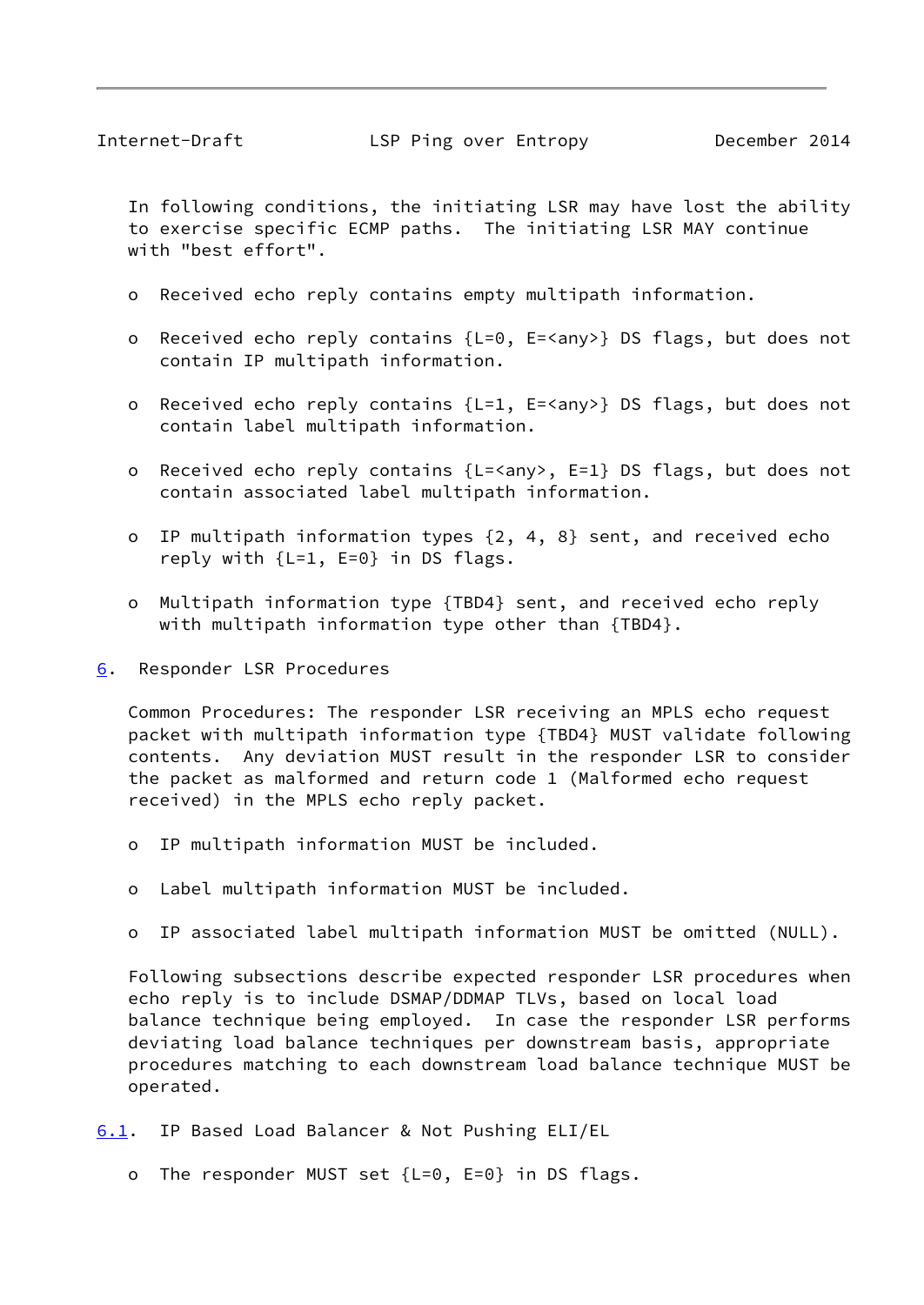<span id="page-9-1"></span> In following conditions, the initiating LSR may have lost the ability to exercise specific ECMP paths. The initiating LSR MAY continue with "best effort".

- o Received echo reply contains empty multipath information.
- o Received echo reply contains {L=0, E=<any>} DS flags, but does not contain IP multipath information.
- o Received echo reply contains {L=1, E=<any>} DS flags, but does not contain label multipath information.
- o Received echo reply contains {L=<any>, E=1} DS flags, but does not contain associated label multipath information.
- o IP multipath information types {2, 4, 8} sent, and received echo reply with  $\{L=1, E=0\}$  in DS flags.
- o Multipath information type {TBD4} sent, and received echo reply with multipath information type other than {TBD4}.
- <span id="page-9-0"></span>[6](#page-9-0). Responder LSR Procedures

 Common Procedures: The responder LSR receiving an MPLS echo request packet with multipath information type {TBD4} MUST validate following contents. Any deviation MUST result in the responder LSR to consider the packet as malformed and return code 1 (Malformed echo request received) in the MPLS echo reply packet.

- o IP multipath information MUST be included.
- o Label multipath information MUST be included.
- o IP associated label multipath information MUST be omitted (NULL).

 Following subsections describe expected responder LSR procedures when echo reply is to include DSMAP/DDMAP TLVs, based on local load balance technique being employed. In case the responder LSR performs deviating load balance techniques per downstream basis, appropriate procedures matching to each downstream load balance technique MUST be operated.

- <span id="page-9-2"></span>[6.1](#page-9-2). IP Based Load Balancer & Not Pushing ELI/EL
	- o The responder MUST set {L=0, E=0} in DS flags.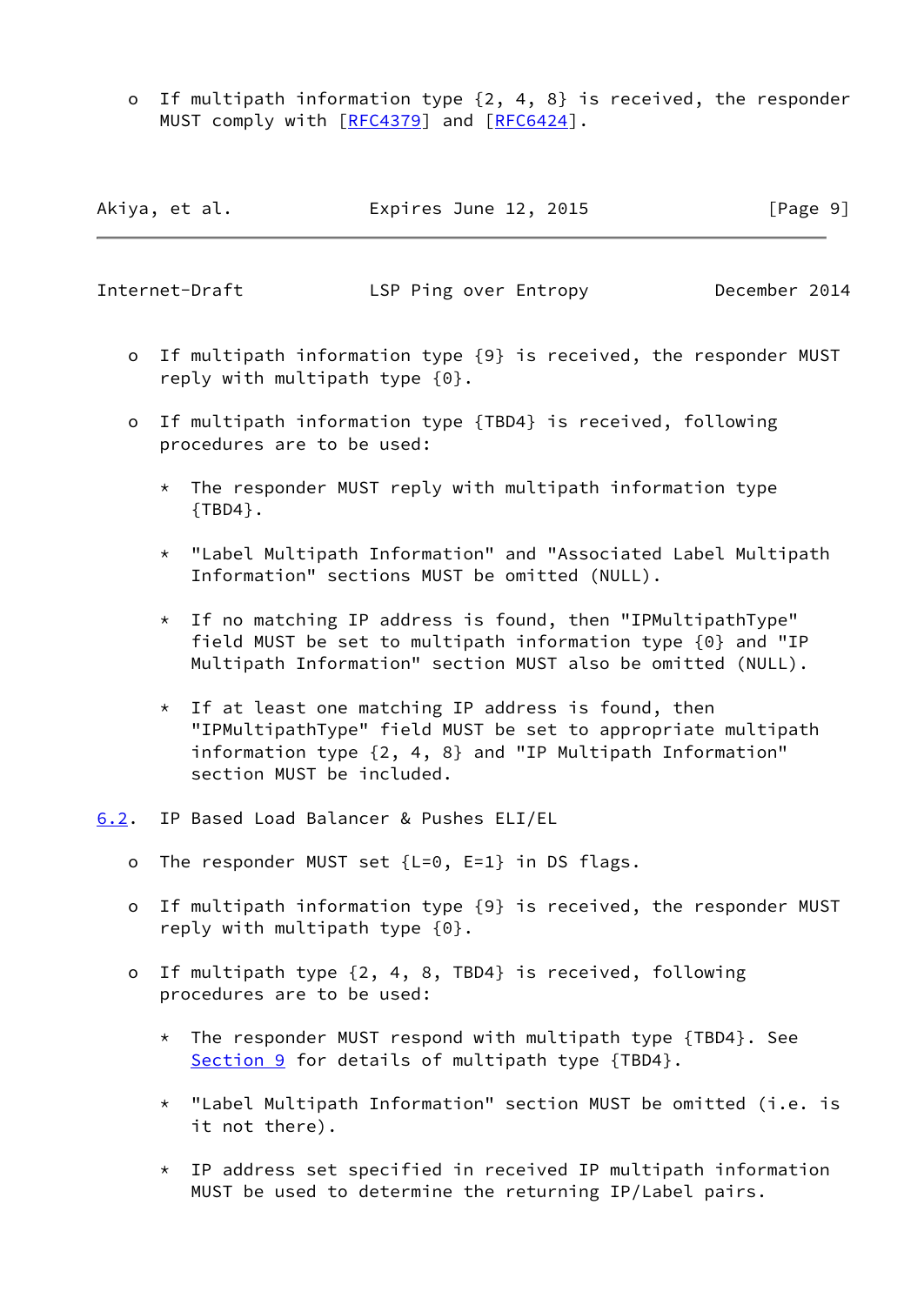o If multipath information type {2, 4, 8} is received, the responder MUST comply with [\[RFC4379](https://datatracker.ietf.org/doc/pdf/rfc4379)] and [[RFC6424](https://datatracker.ietf.org/doc/pdf/rfc6424)].

| Akiya, et al. | Expires June 12, 2015 | [Page 9] |
|---------------|-----------------------|----------|
|---------------|-----------------------|----------|

<span id="page-10-1"></span>Internet-Draft LSP Ping over Entropy December 2014

- o If multipath information type {9} is received, the responder MUST reply with multipath type {0}.
- o If multipath information type {TBD4} is received, following procedures are to be used:
	- $*$  The responder MUST reply with multipath information type {TBD4}.
	- \* "Label Multipath Information" and "Associated Label Multipath Information" sections MUST be omitted (NULL).
	- \* If no matching IP address is found, then "IPMultipathType" field MUST be set to multipath information type {0} and "IP Multipath Information" section MUST also be omitted (NULL).
	- \* If at least one matching IP address is found, then "IPMultipathType" field MUST be set to appropriate multipath information type {2, 4, 8} and "IP Multipath Information" section MUST be included.
- <span id="page-10-0"></span>[6.2](#page-10-0). IP Based Load Balancer & Pushes ELI/EL
	- o The responder MUST set {L=0, E=1} in DS flags.
	- o If multipath information type {9} is received, the responder MUST reply with multipath type {0}.
	- o If multipath type {2, 4, 8, TBD4} is received, following procedures are to be used:
		- \* The responder MUST respond with multipath type {TBD4}. See [Section 9](#page-15-0) for details of multipath type {TBD4}.
		- \* "Label Multipath Information" section MUST be omitted (i.e. is it not there).
		- \* IP address set specified in received IP multipath information MUST be used to determine the returning IP/Label pairs.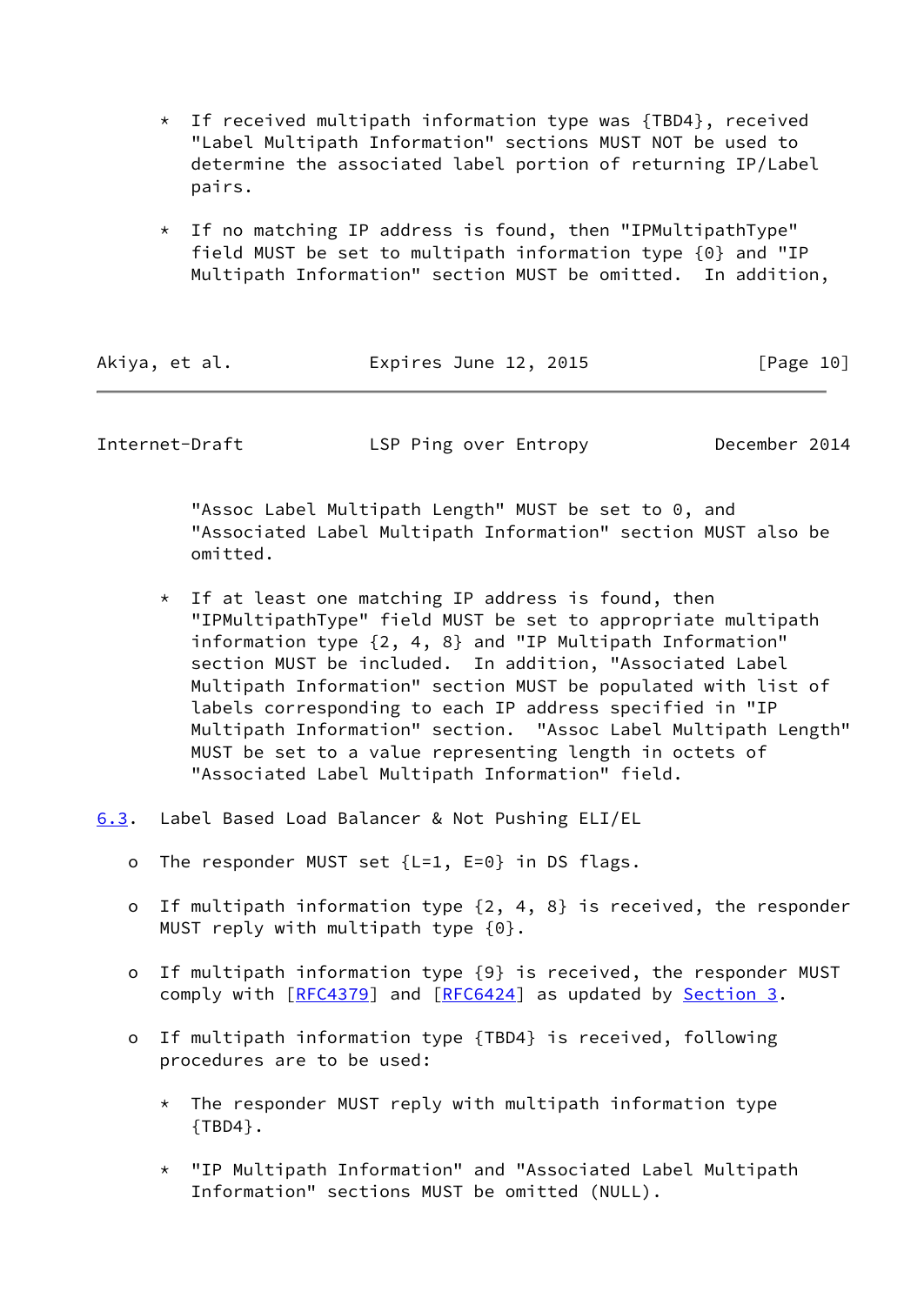- $*$  If received multipath information type was {TBD4}, received "Label Multipath Information" sections MUST NOT be used to determine the associated label portion of returning IP/Label pairs.
- \* If no matching IP address is found, then "IPMultipathType" field MUST be set to multipath information type {0} and "IP Multipath Information" section MUST be omitted. In addition,

| Akiya, et al.<br>Expires June 12, 2015 | [Page 10] |
|----------------------------------------|-----------|
|----------------------------------------|-----------|

<span id="page-11-1"></span>Internet-Draft LSP Ping over Entropy December 2014

 "Assoc Label Multipath Length" MUST be set to 0, and "Associated Label Multipath Information" section MUST also be omitted.

- $*$  If at least one matching IP address is found, then "IPMultipathType" field MUST be set to appropriate multipath information type {2, 4, 8} and "IP Multipath Information" section MUST be included. In addition, "Associated Label Multipath Information" section MUST be populated with list of labels corresponding to each IP address specified in "IP Multipath Information" section. "Assoc Label Multipath Length" MUST be set to a value representing length in octets of "Associated Label Multipath Information" field.
- <span id="page-11-0"></span>[6.3](#page-11-0). Label Based Load Balancer & Not Pushing ELI/EL
	- o The responder MUST set {L=1, E=0} in DS flags.
	- o If multipath information type {2, 4, 8} is received, the responder MUST reply with multipath type {0}.
	- o If multipath information type {9} is received, the responder MUST comply with [\[RFC4379](https://datatracker.ietf.org/doc/pdf/rfc4379)] and [\[RFC6424](https://datatracker.ietf.org/doc/pdf/rfc6424)] as updated by [Section 3](#page-6-0).
	- o If multipath information type {TBD4} is received, following procedures are to be used:
		- $*$  The responder MUST reply with multipath information type {TBD4}.
		- \* "IP Multipath Information" and "Associated Label Multipath Information" sections MUST be omitted (NULL).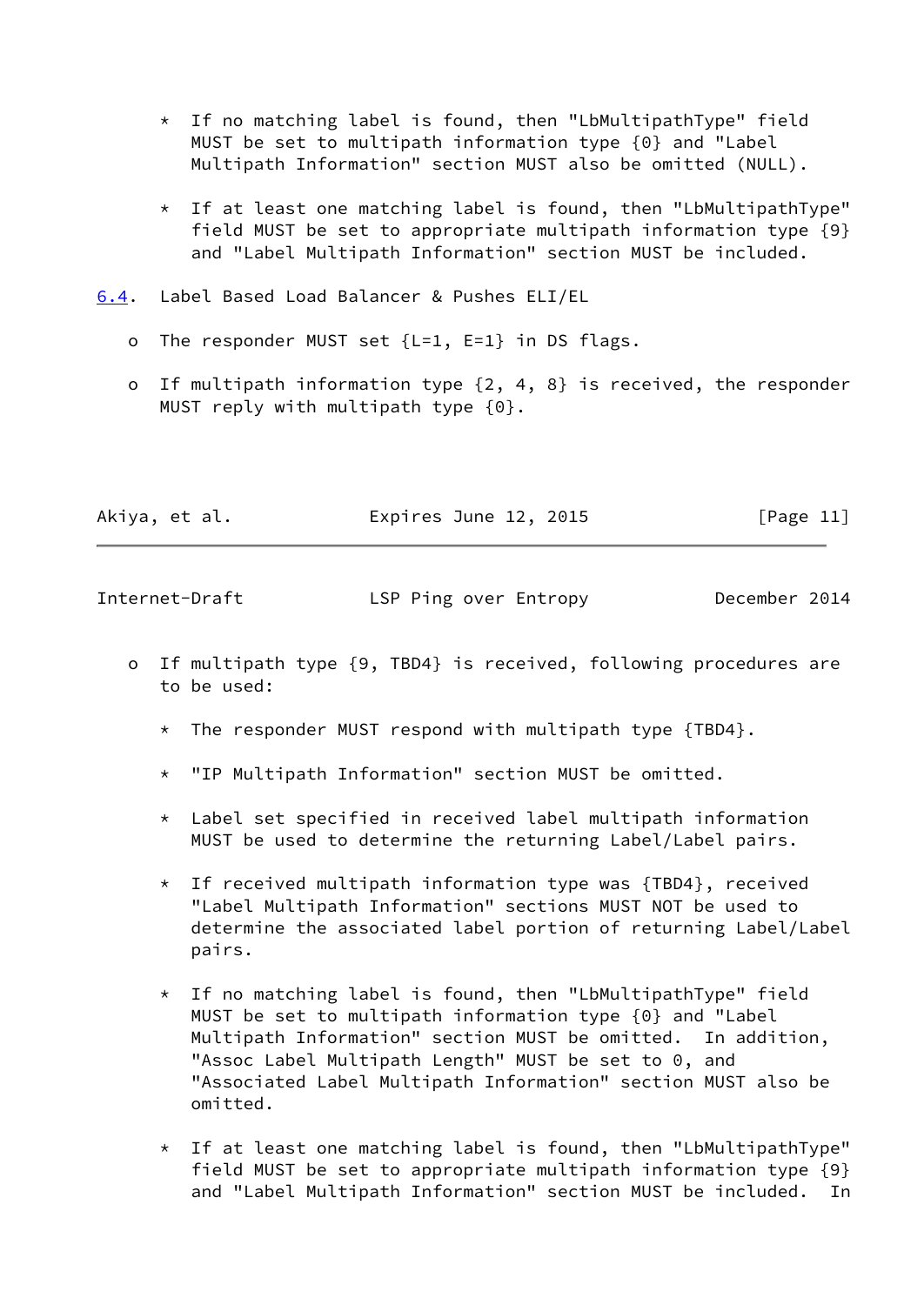- \* If no matching label is found, then "LbMultipathType" field MUST be set to multipath information type {0} and "Label Multipath Information" section MUST also be omitted (NULL).
- \* If at least one matching label is found, then "LbMultipathType" field MUST be set to appropriate multipath information type {9} and "Label Multipath Information" section MUST be included.
- <span id="page-12-0"></span>[6.4](#page-12-0). Label Based Load Balancer & Pushes ELI/EL
	- o The responder MUST set {L=1, E=1} in DS flags.
	- o If multipath information type {2, 4, 8} is received, the responder MUST reply with multipath type {0}.

| Akiya, et al.<br>Expires June 12, 2015 | [Page 11] |
|----------------------------------------|-----------|
|----------------------------------------|-----------|

<span id="page-12-1"></span>Internet-Draft LSP Ping over Entropy December 2014

- o If multipath type {9, TBD4} is received, following procedures are to be used:
	- \* The responder MUST respond with multipath type  ${TBD4}$ .
	- \* "IP Multipath Information" section MUST be omitted.
	- \* Label set specified in received label multipath information MUST be used to determine the returning Label/Label pairs.
	- $*$  If received multipath information type was {TBD4}, received "Label Multipath Information" sections MUST NOT be used to determine the associated label portion of returning Label/Label pairs.
	- \* If no matching label is found, then "LbMultipathType" field MUST be set to multipath information type {0} and "Label Multipath Information" section MUST be omitted. In addition, "Assoc Label Multipath Length" MUST be set to 0, and "Associated Label Multipath Information" section MUST also be omitted.
	- \* If at least one matching label is found, then "LbMultipathType" field MUST be set to appropriate multipath information type {9} and "Label Multipath Information" section MUST be included. In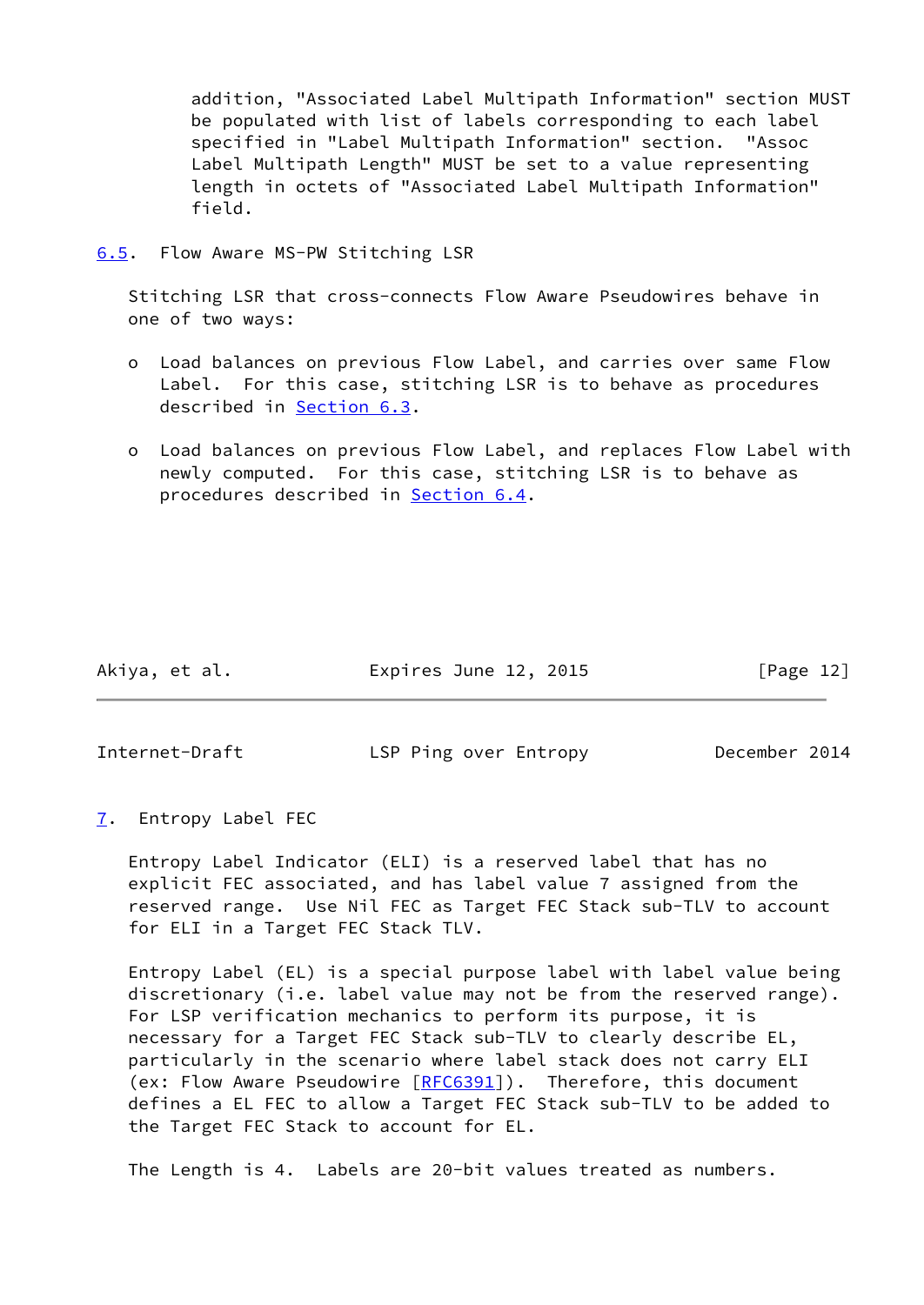addition, "Associated Label Multipath Information" section MUST be populated with list of labels corresponding to each label specified in "Label Multipath Information" section. "Assoc Label Multipath Length" MUST be set to a value representing length in octets of "Associated Label Multipath Information" field.

<span id="page-13-0"></span>[6.5](#page-13-0). Flow Aware MS-PW Stitching LSR

 Stitching LSR that cross-connects Flow Aware Pseudowires behave in one of two ways:

- o Load balances on previous Flow Label, and carries over same Flow Label. For this case, stitching LSR is to behave as procedures described in [Section 6.3](#page-11-0).
- o Load balances on previous Flow Label, and replaces Flow Label with newly computed. For this case, stitching LSR is to behave as procedures described in [Section 6.4](#page-12-0).

Akiya, et al. Expires June 12, 2015 [Page 12]

<span id="page-13-2"></span>

Internet-Draft LSP Ping over Entropy December 2014

<span id="page-13-1"></span>[7](#page-13-1). Entropy Label FEC

 Entropy Label Indicator (ELI) is a reserved label that has no explicit FEC associated, and has label value 7 assigned from the reserved range. Use Nil FEC as Target FEC Stack sub-TLV to account for ELI in a Target FEC Stack TLV.

 Entropy Label (EL) is a special purpose label with label value being discretionary (i.e. label value may not be from the reserved range). For LSP verification mechanics to perform its purpose, it is necessary for a Target FEC Stack sub-TLV to clearly describe EL, particularly in the scenario where label stack does not carry ELI (ex: Flow Aware Pseudowire [[RFC6391\]](https://datatracker.ietf.org/doc/pdf/rfc6391)). Therefore, this document defines a EL FEC to allow a Target FEC Stack sub-TLV to be added to the Target FEC Stack to account for EL.

The Length is 4. Labels are 20-bit values treated as numbers.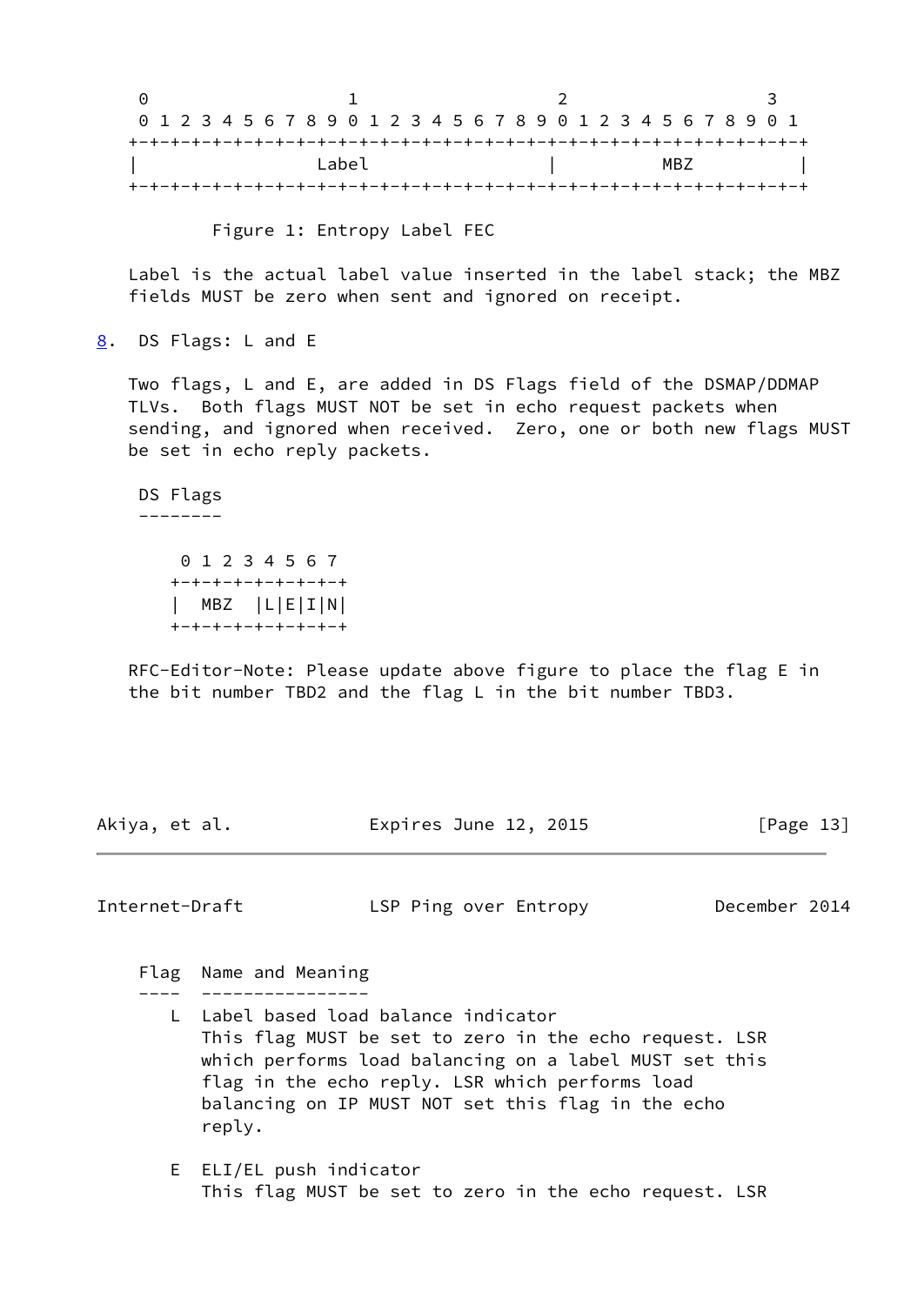0 1 2 3 0 1 2 3 4 5 6 7 8 9 0 1 2 3 4 5 6 7 8 9 0 1 2 3 4 5 6 7 8 9 0 1 +-+-+-+-+-+-+-+-+-+-+-+-+-+-+-+-+-+-+-+-+-+-+-+-+-+-+-+-+-+-+-+-+ | Label | MBZ | +-+-+-+-+-+-+-+-+-+-+-+-+-+-+-+-+-+-+-+-+-+-+-+-+-+-+-+-+-+-+-+-+

Figure 1: Entropy Label FEC

 Label is the actual label value inserted in the label stack; the MBZ fields MUST be zero when sent and ignored on receipt.

<span id="page-14-0"></span>[8](#page-14-0). DS Flags: L and E

 Two flags, L and E, are added in DS Flags field of the DSMAP/DDMAP TLVs. Both flags MUST NOT be set in echo request packets when sending, and ignored when received. Zero, one or both new flags MUST be set in echo reply packets.

 DS Flags --------

> 0 1 2 3 4 5 6 7 +-+-+-+-+-+-+-+-+ | MBZ |L|E|I|N| +-+-+-+-+-+-+-+-+

 RFC-Editor-Note: Please update above figure to place the flag E in the bit number TBD2 and the flag L in the bit number TBD3.

Akiya, et al. Expires June 12, 2015 [Page 13]

<span id="page-14-1"></span>Internet-Draft LSP Ping over Entropy December 2014

Flag Name and Meaning

---- ----------------

- L Label based load balance indicator This flag MUST be set to zero in the echo request. LSR which performs load balancing on a label MUST set this flag in the echo reply. LSR which performs load balancing on IP MUST NOT set this flag in the echo reply.
- E ELI/EL push indicator This flag MUST be set to zero in the echo request. LSR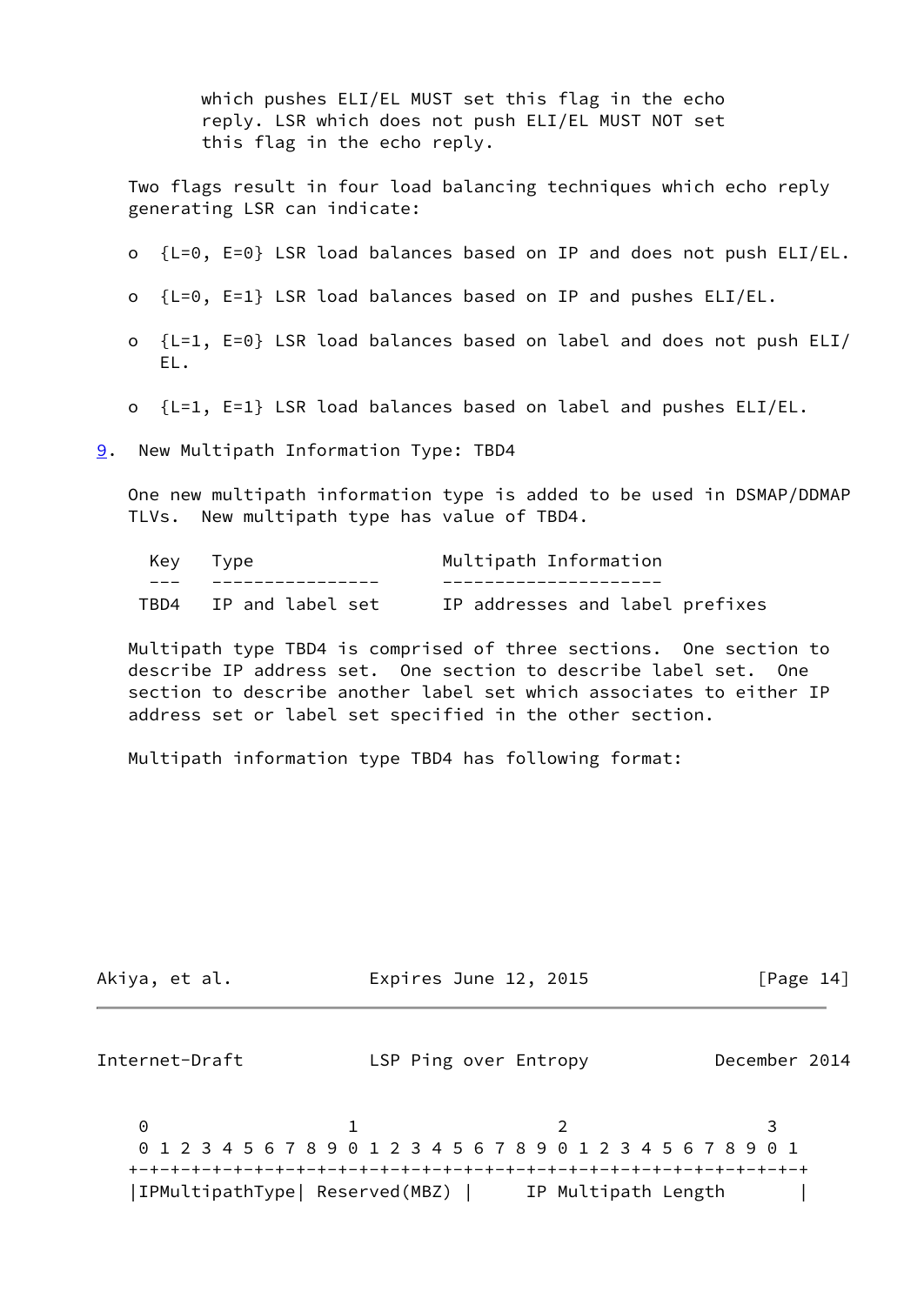which pushes ELI/EL MUST set this flag in the echo reply. LSR which does not push ELI/EL MUST NOT set this flag in the echo reply.

 Two flags result in four load balancing techniques which echo reply generating LSR can indicate:

- o {L=0, E=0} LSR load balances based on IP and does not push ELI/EL.
- o {L=0, E=1} LSR load balances based on IP and pushes ELI/EL.
- o {L=1, E=0} LSR load balances based on label and does not push ELI/ EL.
- o {L=1, E=1} LSR load balances based on label and pushes ELI/EL.
- <span id="page-15-0"></span>[9](#page-15-0). New Multipath Information Type: TBD4

 One new multipath information type is added to be used in DSMAP/DDMAP TLVs. New multipath type has value of TBD4.

| Key Type              | Multipath Information           |
|-----------------------|---------------------------------|
|                       |                                 |
| TBD4 IP and label set | IP addresses and label prefixes |

 Multipath type TBD4 is comprised of three sections. One section to describe IP address set. One section to describe label set. One section to describe another label set which associates to either IP address set or label set specified in the other section.

Multipath information type TBD4 has following format:

| Akiya, et al.                  | Expires June 12, 2015                                           | [Page $14$ ]  |
|--------------------------------|-----------------------------------------------------------------|---------------|
| Internet-Draft                 | LSP Ping over Entropy                                           | December 2014 |
| 0                              |                                                                 |               |
|                                | 0 1 2 3 4 5 6 7 8 9 0 1 2 3 4 5 6 7 8 9 0 1 2 3 4 5 6 7 8 9 0 1 |               |
| IPMultipathType  Reserved(MBZ) | IP Multipath Length                                             |               |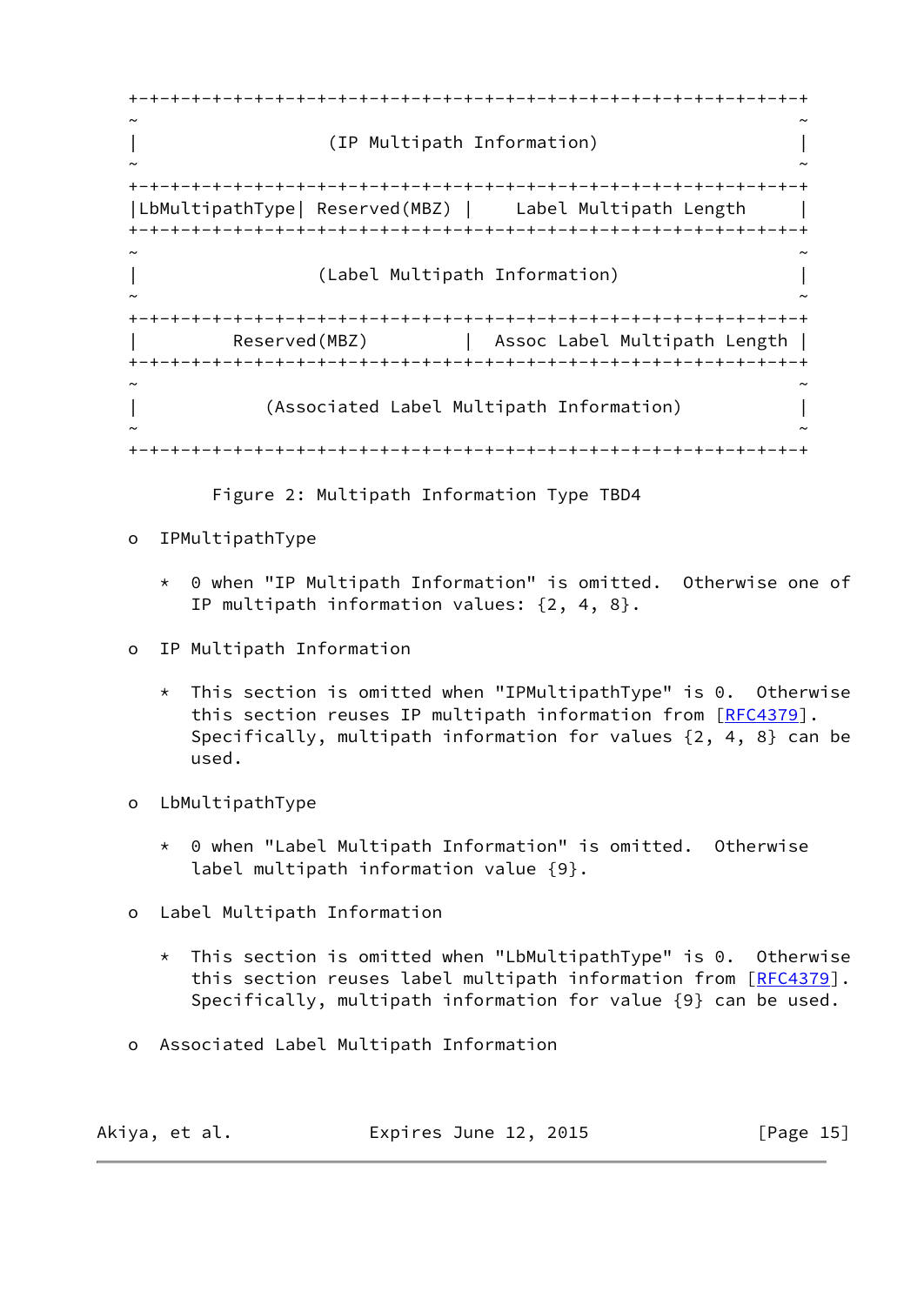+-+-+-+-+-+-+-+-+-+-+-+-+-+-+-+-+-+-+-+-+-+-+-+-+-+-+-+-+-+-+-+-+ ~ ~ | (IP Multipath Information) | ~ ~ +-+-+-+-+-+-+-+-+-+-+-+-+-+-+-+-+-+-+-+-+-+-+-+-+-+-+-+-+-+-+-+-+ |LbMultipathType| Reserved(MBZ) | Label Multipath Length | +-+-+-+-+-+-+-+-+-+-+-+-+-+-+-+-+-+-+-+-+-+-+-+-+-+-+-+-+-+-+-+-+ ~ ~ | (Label Multipath Information) | ~ ~ +-+-+-+-+-+-+-+-+-+-+-+-+-+-+-+-+-+-+-+-+-+-+-+-+-+-+-+-+-+-+-+-+ | Reserved(MBZ) | Assoc Label Multipath Length | +-+-+-+-+-+-+-+-+-+-+-+-+-+-+-+-+-+-+-+-+-+-+-+-+-+-+-+-+-+-+-+-+ ~ ~ | (Associated Label Multipath Information) | ~ ~ +-+-+-+-+-+-+-+-+-+-+-+-+-+-+-+-+-+-+-+-+-+-+-+-+-+-+-+-+-+-+-+-+

Figure 2: Multipath Information Type TBD4

- o IPMultipathType
	- \* 0 when "IP Multipath Information" is omitted. Otherwise one of IP multipath information values: {2, 4, 8}.
- o IP Multipath Information
	- \* This section is omitted when "IPMultipathType" is 0. Otherwise this section reuses IP multipath information from [\[RFC4379](https://datatracker.ietf.org/doc/pdf/rfc4379)]. Specifically, multipath information for values {2, 4, 8} can be used.
- o LbMultipathType
	- \* 0 when "Label Multipath Information" is omitted. Otherwise label multipath information value {9}.
- o Label Multipath Information
	- \* This section is omitted when "LbMultipathType" is 0. Otherwise this section reuses label multipath information from [[RFC4379\]](https://datatracker.ietf.org/doc/pdf/rfc4379). Specifically, multipath information for value {9} can be used.
- o Associated Label Multipath Information

| Akiya, et al. | Expires June 12, 2015 | [Page 15] |
|---------------|-----------------------|-----------|
|---------------|-----------------------|-----------|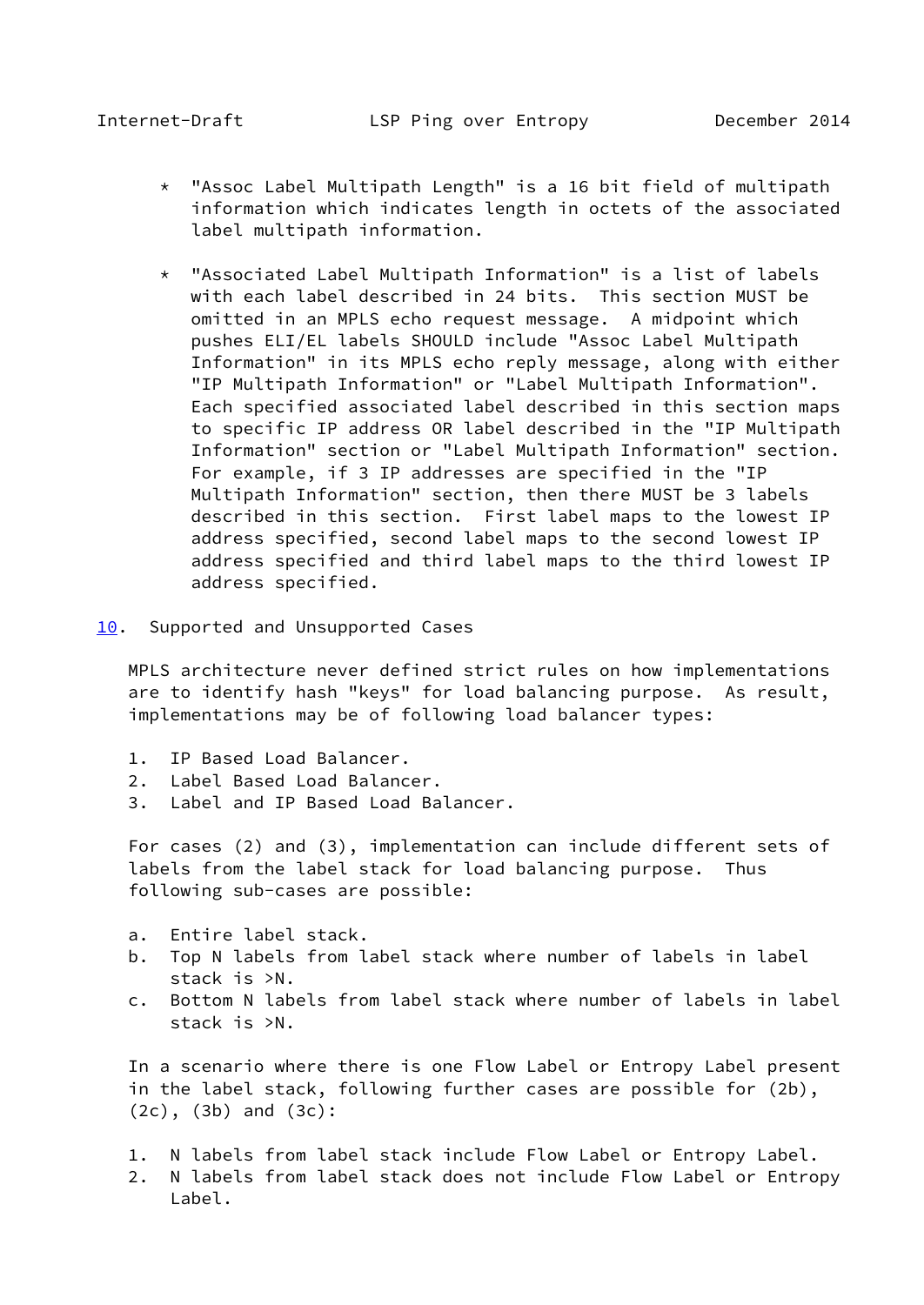- <span id="page-17-1"></span> \* "Assoc Label Multipath Length" is a 16 bit field of multipath information which indicates length in octets of the associated label multipath information.
- \* "Associated Label Multipath Information" is a list of labels with each label described in 24 bits. This section MUST be omitted in an MPLS echo request message. A midpoint which pushes ELI/EL labels SHOULD include "Assoc Label Multipath Information" in its MPLS echo reply message, along with either "IP Multipath Information" or "Label Multipath Information". Each specified associated label described in this section maps to specific IP address OR label described in the "IP Multipath Information" section or "Label Multipath Information" section. For example, if 3 IP addresses are specified in the "IP Multipath Information" section, then there MUST be 3 labels described in this section. First label maps to the lowest IP address specified, second label maps to the second lowest IP address specified and third label maps to the third lowest IP address specified.
- <span id="page-17-0"></span>[10.](#page-17-0) Supported and Unsupported Cases

 MPLS architecture never defined strict rules on how implementations are to identify hash "keys" for load balancing purpose. As result, implementations may be of following load balancer types:

- 1. IP Based Load Balancer.
- 2. Label Based Load Balancer.
- 3. Label and IP Based Load Balancer.

 For cases (2) and (3), implementation can include different sets of labels from the label stack for load balancing purpose. Thus following sub-cases are possible:

- a. Entire label stack.
- b. Top N labels from label stack where number of labels in label stack is >N.
- c. Bottom N labels from label stack where number of labels in label stack is >N.

 In a scenario where there is one Flow Label or Entropy Label present in the label stack, following further cases are possible for (2b), (2c), (3b) and (3c):

- 1. N labels from label stack include Flow Label or Entropy Label.
- 2. N labels from label stack does not include Flow Label or Entropy Label.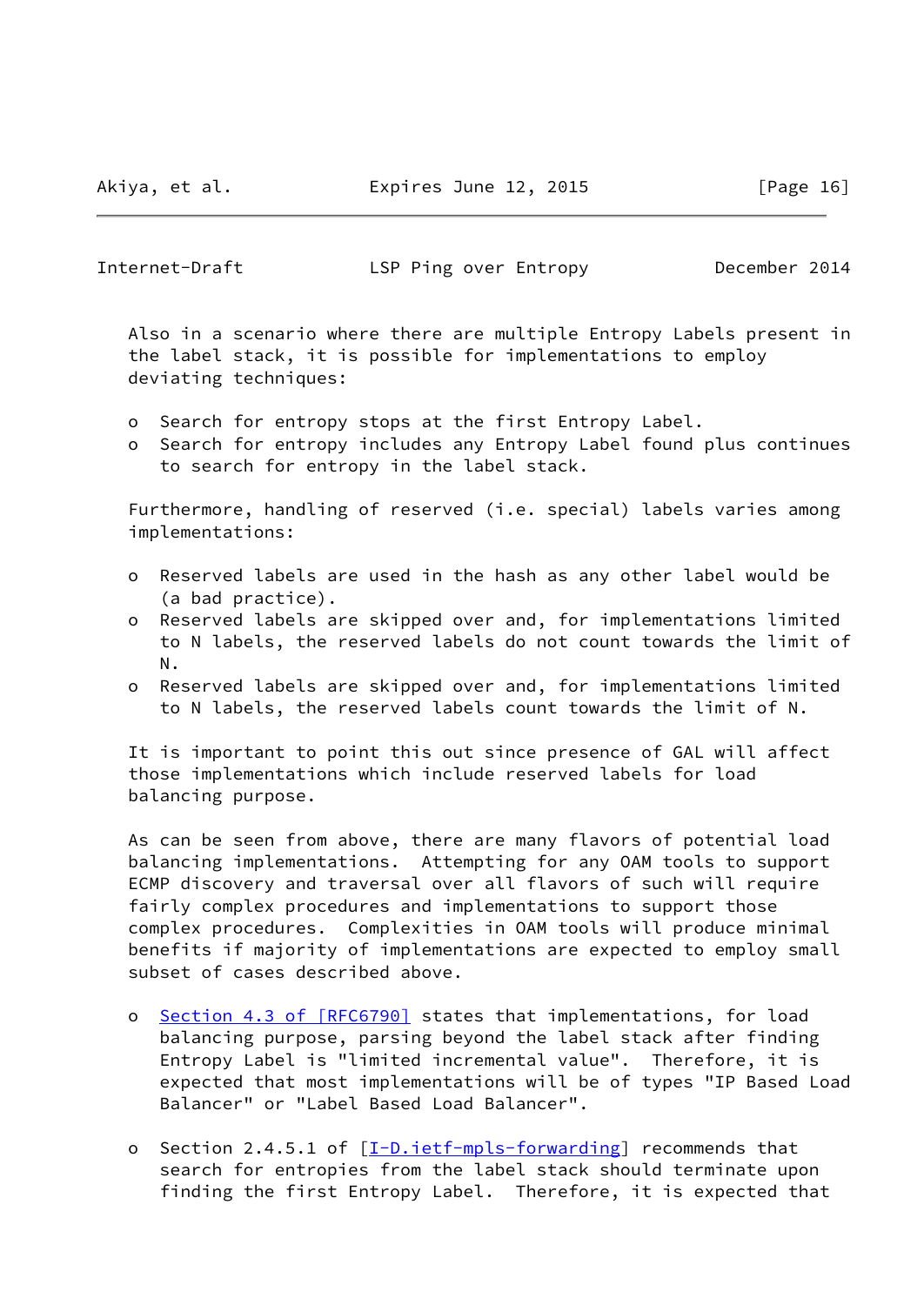Akiya, et al. Expires June 12, 2015 [Page 16]

Internet-Draft LSP Ping over Entropy December 2014

 Also in a scenario where there are multiple Entropy Labels present in the label stack, it is possible for implementations to employ deviating techniques:

- o Search for entropy stops at the first Entropy Label.
- o Search for entropy includes any Entropy Label found plus continues to search for entropy in the label stack.

Furthermore, handling of reserved (i.e. special) labels varies among implementations:

- o Reserved labels are used in the hash as any other label would be (a bad practice).
- o Reserved labels are skipped over and, for implementations limited to N labels, the reserved labels do not count towards the limit of N.
- o Reserved labels are skipped over and, for implementations limited to N labels, the reserved labels count towards the limit of N.

 It is important to point this out since presence of GAL will affect those implementations which include reserved labels for load balancing purpose.

 As can be seen from above, there are many flavors of potential load balancing implementations. Attempting for any OAM tools to support ECMP discovery and traversal over all flavors of such will require fairly complex procedures and implementations to support those complex procedures. Complexities in OAM tools will produce minimal benefits if majority of implementations are expected to employ small subset of cases described above.

- o Section [4.3 of \[RFC6790\]](https://datatracker.ietf.org/doc/pdf/rfc6790#section-4.3) states that implementations, for load balancing purpose, parsing beyond the label stack after finding Entropy Label is "limited incremental value". Therefore, it is expected that most implementations will be of types "IP Based Load Balancer" or "Label Based Load Balancer".
- o Section 2.4.5.1 of [[I-D.ietf-mpls-forwarding\]](#page-21-5) recommends that search for entropies from the label stack should terminate upon finding the first Entropy Label. Therefore, it is expected that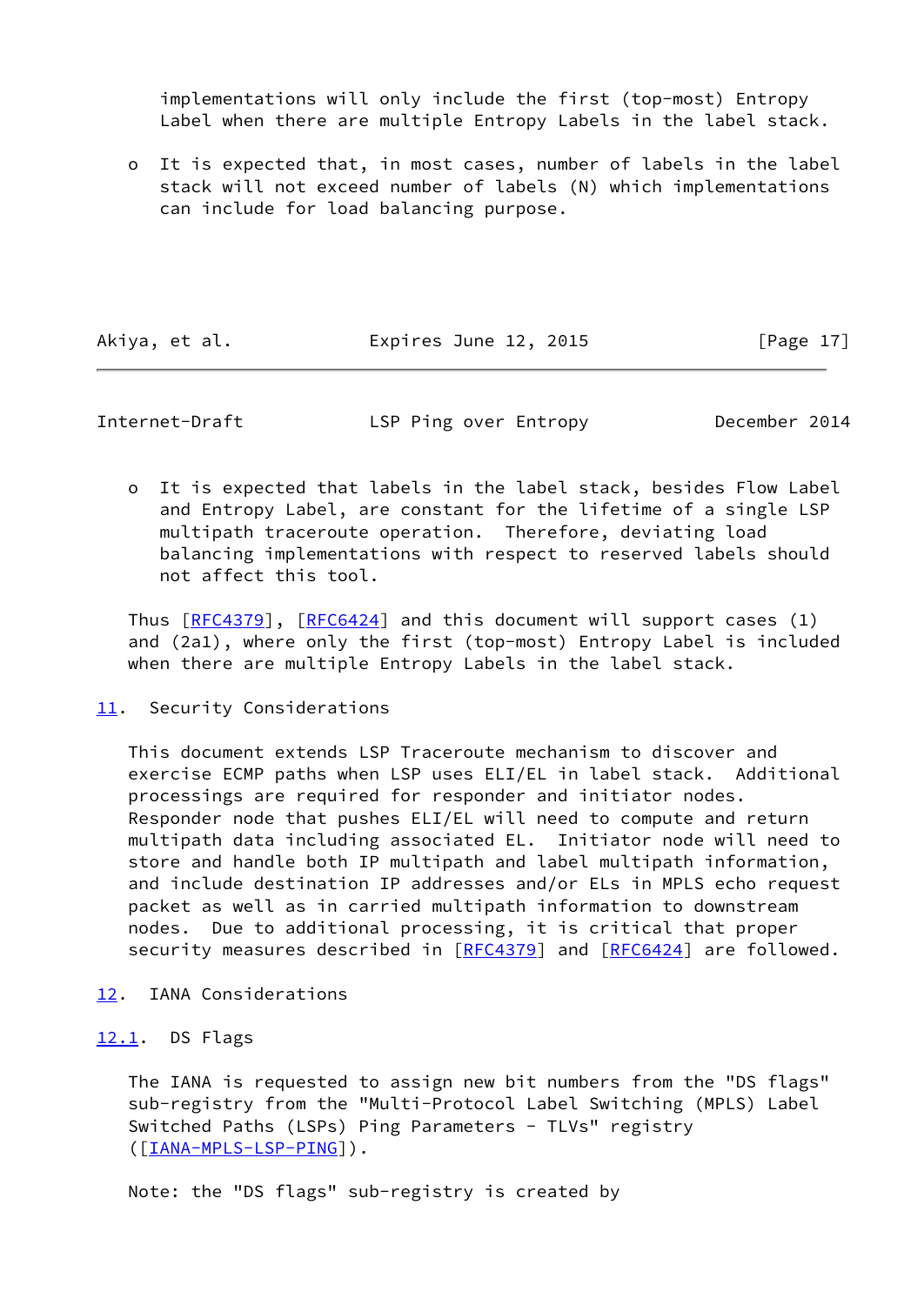implementations will only include the first (top-most) Entropy Label when there are multiple Entropy Labels in the label stack.

 o It is expected that, in most cases, number of labels in the label stack will not exceed number of labels (N) which implementations can include for load balancing purpose.

Akiya, et al. **Expires June 12, 2015** [Page 17]

<span id="page-19-1"></span>

Internet-Draft LSP Ping over Entropy December 2014

 o It is expected that labels in the label stack, besides Flow Label and Entropy Label, are constant for the lifetime of a single LSP multipath traceroute operation. Therefore, deviating load balancing implementations with respect to reserved labels should not affect this tool.

Thus  $[REC4379]$ ,  $[REC6424]$  and this document will support cases (1) and (2a1), where only the first (top-most) Entropy Label is included when there are multiple Entropy Labels in the label stack.

# <span id="page-19-0"></span>[11.](#page-19-0) Security Considerations

 This document extends LSP Traceroute mechanism to discover and exercise ECMP paths when LSP uses ELI/EL in label stack. Additional processings are required for responder and initiator nodes. Responder node that pushes ELI/EL will need to compute and return multipath data including associated EL. Initiator node will need to store and handle both IP multipath and label multipath information, and include destination IP addresses and/or ELs in MPLS echo request packet as well as in carried multipath information to downstream nodes. Due to additional processing, it is critical that proper security measures described in [\[RFC4379](https://datatracker.ietf.org/doc/pdf/rfc4379)] and [\[RFC6424](https://datatracker.ietf.org/doc/pdf/rfc6424)] are followed.

<span id="page-19-2"></span>[12.](#page-19-2) IANA Considerations

# <span id="page-19-3"></span>[12.1](#page-19-3). DS Flags

 The IANA is requested to assign new bit numbers from the "DS flags" sub-registry from the "Multi-Protocol Label Switching (MPLS) Label Switched Paths (LSPs) Ping Parameters - TLVs" registry ([\[IANA-MPLS-LSP-PING\]](#page-21-6)).

Note: the "DS flags" sub-registry is created by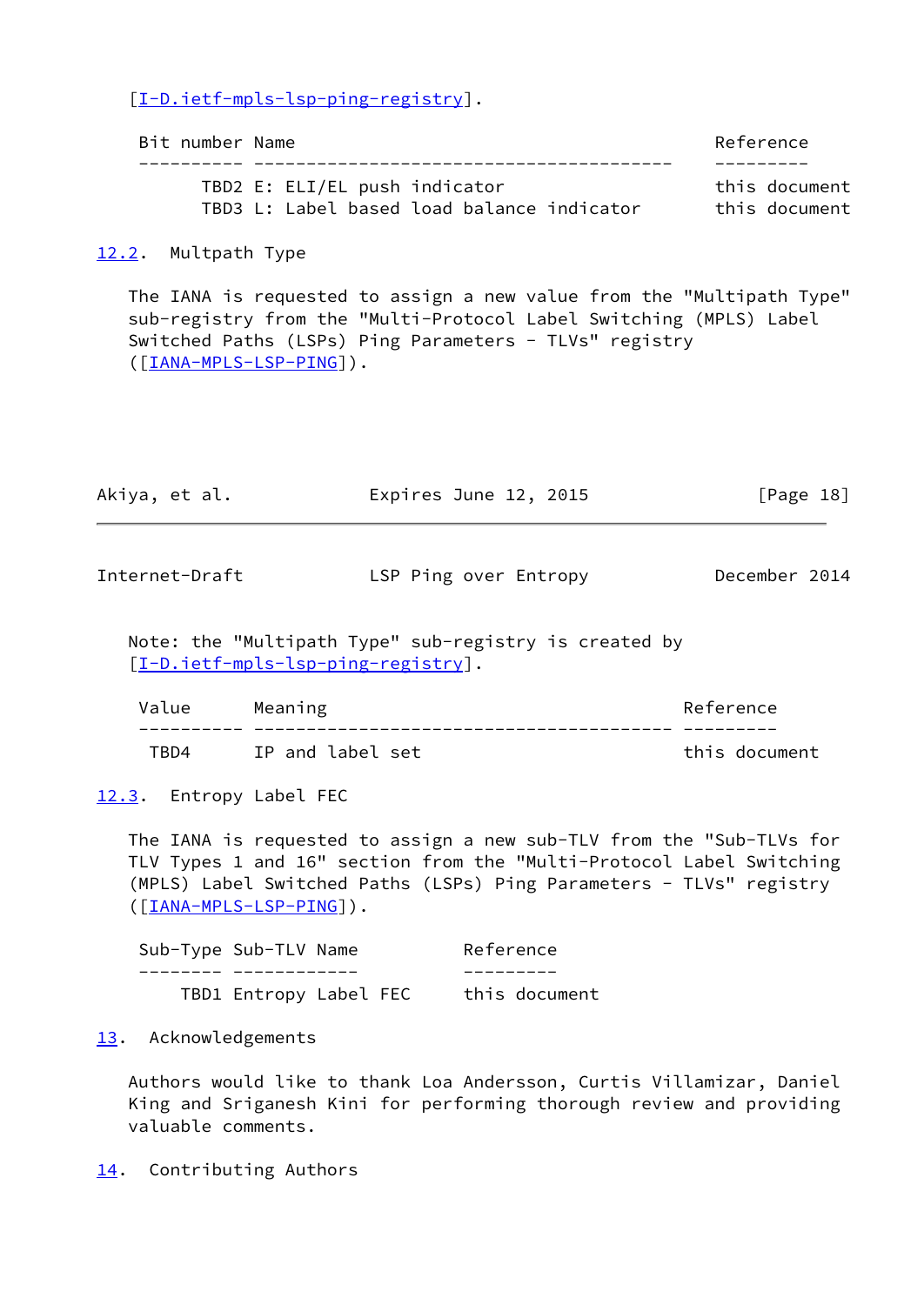[\[I-D.ietf-mpls-lsp-ping-registry](#page-21-7)].

| Bit number Name |                               |                                            |  | Reference     |
|-----------------|-------------------------------|--------------------------------------------|--|---------------|
|                 |                               |                                            |  |               |
|                 | TBD2 E: ELI/EL push indicator |                                            |  | this document |
|                 |                               | TBD3 L: Label based load balance indicator |  | this document |

<span id="page-20-0"></span>[12.2](#page-20-0). Multpath Type

 The IANA is requested to assign a new value from the "Multipath Type" sub-registry from the "Multi-Protocol Label Switching (MPLS) Label Switched Paths (LSPs) Ping Parameters - TLVs" registry ([\[IANA-MPLS-LSP-PING\]](#page-21-6)).

<span id="page-20-2"></span>

| Akiya, et al.  | Expires June 12, 2015 | $\lceil \text{Page 18} \rceil$ |  |
|----------------|-----------------------|--------------------------------|--|
|                |                       |                                |  |
| Internet-Draft | LSP Ping over Entropy | December 2014                  |  |

 Note: the "Multipath Type" sub-registry is created by [\[I-D.ietf-mpls-lsp-ping-registry](#page-21-7)].

| Value | Meaning          | Reference     |
|-------|------------------|---------------|
|       |                  |               |
| TRD4  | IP and label set | this document |

<span id="page-20-1"></span>[12.3](#page-20-1). Entropy Label FEC

 The IANA is requested to assign a new sub-TLV from the "Sub-TLVs for TLV Types 1 and 16" section from the "Multi-Protocol Label Switching (MPLS) Label Switched Paths (LSPs) Ping Parameters - TLVs" registry ([\[IANA-MPLS-LSP-PING\]](#page-21-6)).

| Sub-Type Sub-TLV Name |                        | Reference     |
|-----------------------|------------------------|---------------|
|                       |                        |               |
|                       | TBD1 Entropy Label FEC | this document |

<span id="page-20-3"></span>[13.](#page-20-3) Acknowledgements

 Authors would like to thank Loa Andersson, Curtis Villamizar, Daniel King and Sriganesh Kini for performing thorough review and providing valuable comments.

<span id="page-20-4"></span>[14.](#page-20-4) Contributing Authors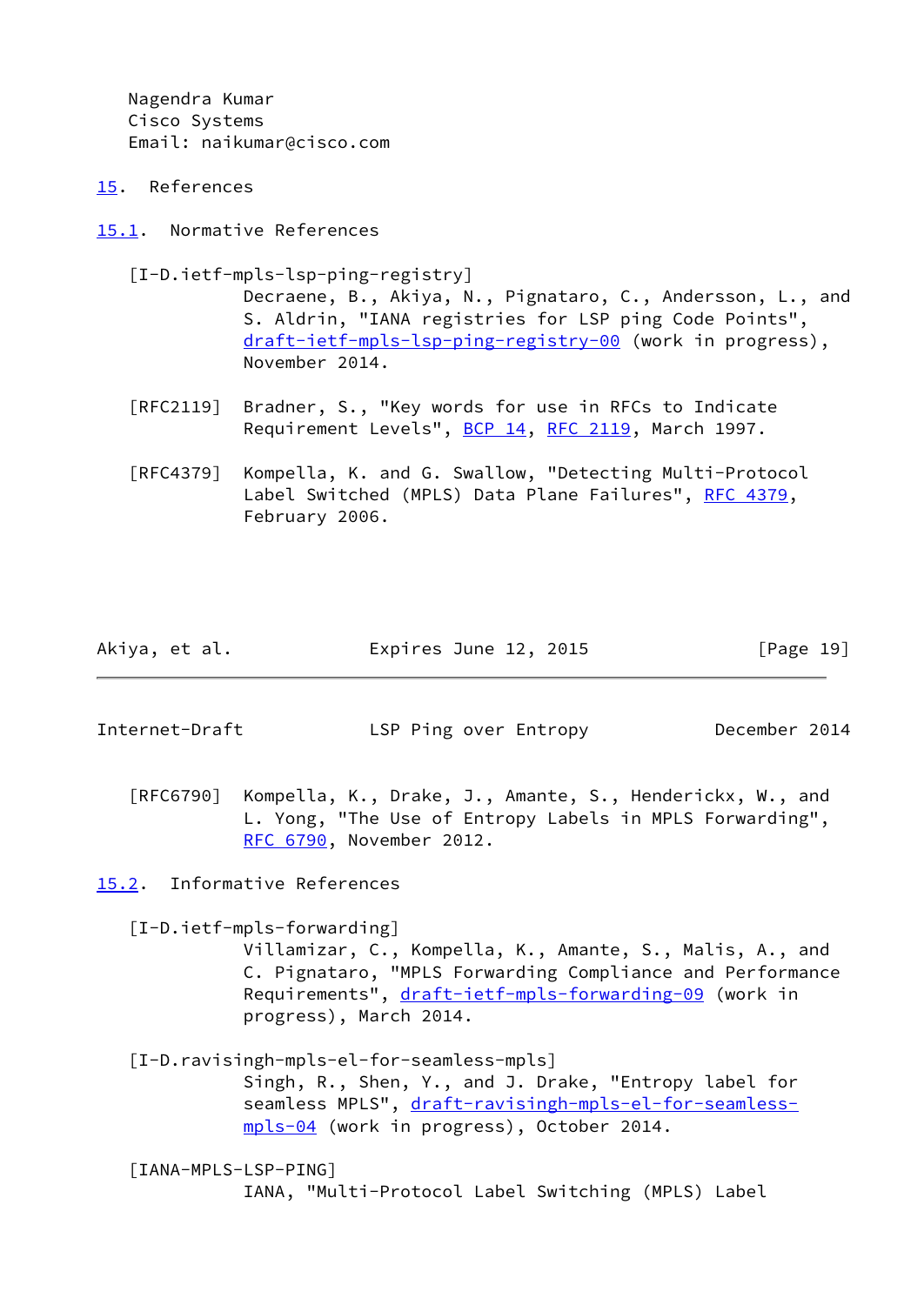Nagendra Kumar Cisco Systems Email: naikumar@cisco.com

- <span id="page-21-0"></span>[15.](#page-21-0) References
- <span id="page-21-1"></span>[15.1](#page-21-1). Normative References

<span id="page-21-7"></span>[I-D.ietf-mpls-lsp-ping-registry]

 Decraene, B., Akiya, N., Pignataro, C., Andersson, L., and S. Aldrin, "IANA registries for LSP ping Code Points", [draft-ietf-mpls-lsp-ping-registry-00](https://datatracker.ietf.org/doc/pdf/draft-ietf-mpls-lsp-ping-registry-00) (work in progress), November 2014.

- [RFC2119] Bradner, S., "Key words for use in RFCs to Indicate Requirement Levels", [BCP 14](https://datatracker.ietf.org/doc/pdf/bcp14), [RFC 2119](https://datatracker.ietf.org/doc/pdf/rfc2119), March 1997.
- [RFC4379] Kompella, K. and G. Swallow, "Detecting Multi-Protocol Label Switched (MPLS) Data Plane Failures", [RFC 4379,](https://datatracker.ietf.org/doc/pdf/rfc4379) February 2006.

| Akiya, et al.<br>Expires June 12, 2015 | [Page 19] |
|----------------------------------------|-----------|
|----------------------------------------|-----------|

<span id="page-21-3"></span>Internet-Draft LSP Ping over Entropy December 2014

[RFC6790] Kompella, K., Drake, J., Amante, S., Henderickx, W., and L. Yong, "The Use of Entropy Labels in MPLS Forwarding", [RFC 6790,](https://datatracker.ietf.org/doc/pdf/rfc6790) November 2012.

<span id="page-21-2"></span>[15.2](#page-21-2). Informative References

<span id="page-21-5"></span>[I-D.ietf-mpls-forwarding]

 Villamizar, C., Kompella, K., Amante, S., Malis, A., and C. Pignataro, "MPLS Forwarding Compliance and Performance Requirements", [draft-ietf-mpls-forwarding-09](https://datatracker.ietf.org/doc/pdf/draft-ietf-mpls-forwarding-09) (work in progress), March 2014.

<span id="page-21-4"></span> [I-D.ravisingh-mpls-el-for-seamless-mpls] Singh, R., Shen, Y., and J. Drake, "Entropy label for seamless MPLS", [draft-ravisingh-mpls-el-for-seamless](https://datatracker.ietf.org/doc/pdf/draft-ravisingh-mpls-el-for-seamless-mpls-04) [mpls-04](https://datatracker.ietf.org/doc/pdf/draft-ravisingh-mpls-el-for-seamless-mpls-04) (work in progress), October 2014.

<span id="page-21-6"></span> [IANA-MPLS-LSP-PING] IANA, "Multi-Protocol Label Switching (MPLS) Label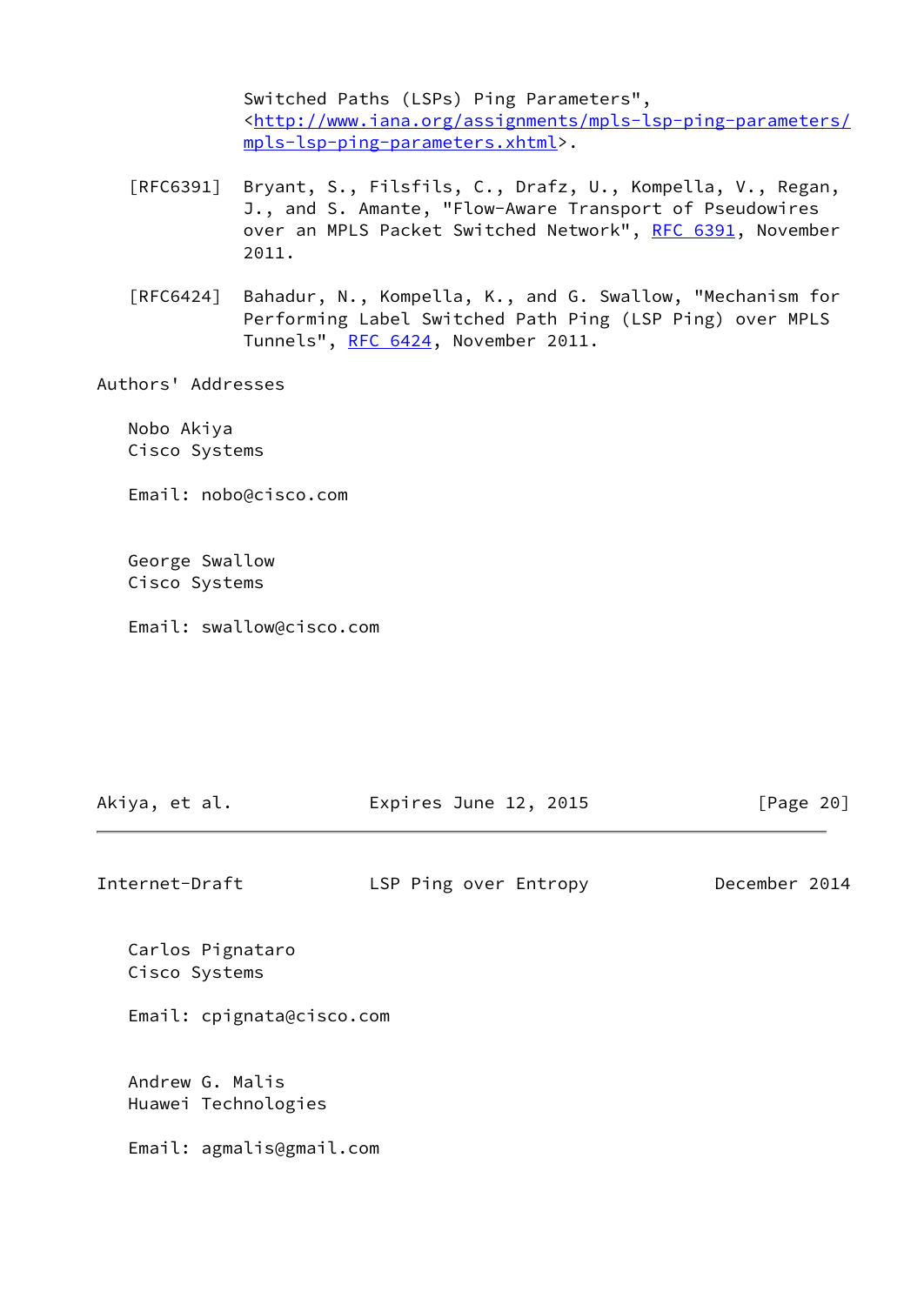Switched Paths (LSPs) Ping Parameters", <[http://www.iana.org/assignments/mpls-lsp-ping-parameters/](http://www.iana.org/assignments/mpls-lsp-ping-parameters/mpls-lsp-ping-parameters.xhtml) [mpls-lsp-ping-parameters.xhtml](http://www.iana.org/assignments/mpls-lsp-ping-parameters/mpls-lsp-ping-parameters.xhtml)>.

- [RFC6391] Bryant, S., Filsfils, C., Drafz, U., Kompella, V., Regan, J., and S. Amante, "Flow-Aware Transport of Pseudowires over an MPLS Packet Switched Network", [RFC 6391](https://datatracker.ietf.org/doc/pdf/rfc6391), November 2011.
- [RFC6424] Bahadur, N., Kompella, K., and G. Swallow, "Mechanism for Performing Label Switched Path Ping (LSP Ping) over MPLS Tunnels", [RFC 6424](https://datatracker.ietf.org/doc/pdf/rfc6424), November 2011.

Authors' Addresses

 Nobo Akiya Cisco Systems

Email: nobo@cisco.com

 George Swallow Cisco Systems

Email: swallow@cisco.com

| Akiya, et al.                          | Expires June 12, 2015 | [Page $20$ ]  |
|----------------------------------------|-----------------------|---------------|
| Internet-Draft                         | LSP Ping over Entropy | December 2014 |
| Carlos Pignataro<br>Cisco Systems      |                       |               |
| Email: cpignata@cisco.com              |                       |               |
| Andrew G. Malis<br>Huawei Technologies |                       |               |
| Email: agmalis@gmail.com               |                       |               |